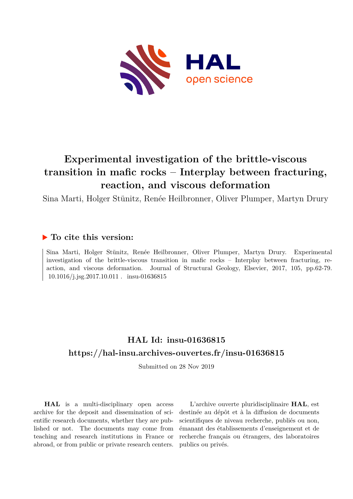

# **Experimental investigation of the brittle-viscous transition in mafic rocks – Interplay between fracturing, reaction, and viscous deformation**

Sina Marti, Holger Stünitz, Renée Heilbronner, Oliver Plumper, Martyn Drury

### **To cite this version:**

Sina Marti, Holger Stünitz, Renée Heilbronner, Oliver Plumper, Martyn Drury. Experimental investigation of the brittle-viscous transition in mafic rocks – Interplay between fracturing, reaction, and viscous deformation. Journal of Structural Geology, Elsevier, 2017, 105, pp.62-79.  $10.1016/j.jsg.2017.10.011$ . insu-01636815

## **HAL Id: insu-01636815 <https://hal-insu.archives-ouvertes.fr/insu-01636815>**

Submitted on 28 Nov 2019

**HAL** is a multi-disciplinary open access archive for the deposit and dissemination of scientific research documents, whether they are published or not. The documents may come from teaching and research institutions in France or abroad, or from public or private research centers.

L'archive ouverte pluridisciplinaire **HAL**, est destinée au dépôt et à la diffusion de documents scientifiques de niveau recherche, publiés ou non, émanant des établissements d'enseignement et de recherche français ou étrangers, des laboratoires publics ou privés.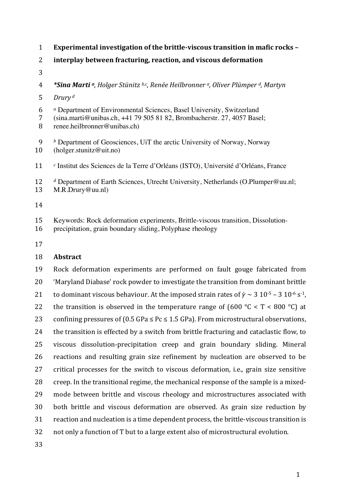- 1 **Experimental investigation of the brittle-viscous transition in mafic rocks –**
- 2 **interplay between fracturing, reaction, and viscous deformation**
- 3
- 4 **\*Sina Marti** *a*, Holger Stünitz *b,c*, Renée Heilbronner *a*, Oliver Plümper *d*, Martyn
- *Drury* 5 *<sup>d</sup>*
- 6 *<sup>a</sup>* Department of Environmental Sciences, Basel University, Switzerland
- 7 (sina.marti@unibas.ch, +41 79 505 81 82, Brombacherstr. 27, 4057 Basel;
- 8 renee.heilbronner@unibas.ch)
- 9 *<sup>b</sup>* Department of Geosciences, UiT the arctic University of Norway, Norway 10 (holger.stunitz@uit.no)
- 11 <sup>c</sup> Institut des Sciences de la Terre d'Orléans (ISTO), Université d'Orléans, France
- 12 *<sup>d</sup>* Department of Earth Sciences, Utrecht University, Netherlands (O.Plumper@uu.nl; 13 M.R.Drury@uu.nl)
- 14
- 15 Keywords: Rock deformation experiments, Brittle-viscous transition, Dissolution-
- 16 precipitation, grain boundary sliding, Polyphase rheology
- 17

#### 18 **Abstract**

19 Rock deformation experiments are performed on fault gouge fabricated from 20 'Maryland Diabase' rock powder to investigate the transition from dominant brittle 21 to dominant viscous behaviour. At the imposed strain rates of  $\dot{\gamma} \sim 3 \times 10^{-5} - 3 \times 10^{-6} \text{ s}^{-1}$ , 22 the transition is observed in the temperature range of  $(600 °C < T < 800 °C)$  at 23 confining pressures of  $(0.5 \text{ GPa} \le \text{Pc} \le 1.5 \text{ GPa})$ . From microstructural observations, 24 the transition is effected by a switch from brittle fracturing and cataclastic flow, to 25 viscous dissolution-precipitation creep and grain boundary sliding. Mineral 26 reactions and resulting grain size refinement by nucleation are observed to be 27 critical processes for the switch to viscous deformation, *i.e.*, grain size sensitive 28 creep. In the transitional regime, the mechanical response of the sample is a mixed-29 mode between brittle and viscous rheology and microstructures associated with 30 both brittle and viscous deformation are observed. As grain size reduction by 31 reaction and nucleation is a time dependent process, the brittle-viscous transition is 32 not only a function of T but to a large extent also of microstructural evolution.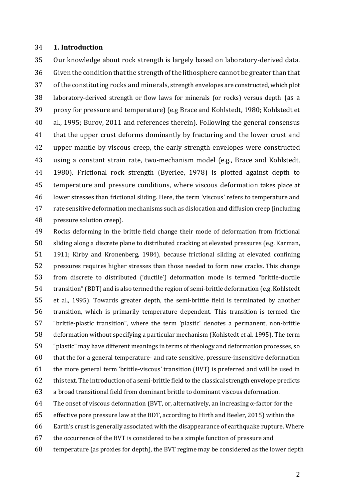#### 34 **1. Introduction**

35 Our knowledge about rock strength is largely based on laboratory-derived data. 36 Given the condition that the strength of the lithosphere cannot be greater than that 37 of the constituting rocks and minerals, strength envelopes are constructed, which plot 38 laboratory-derived strength or flow laws for minerals (or rocks) versus depth (as a 39 proxy for pressure and temperature) (e.g Brace and Kohlstedt, 1980; Kohlstedt et 40 al., 1995; Burov, 2011 and references therein). Following the general consensus 41 that the upper crust deforms dominantly by fracturing and the lower crust and 42 upper mantle by viscous creep, the early strength envelopes were constructed 43 using a constant strain rate, two-mechanism model (e.g., Brace and Kohlstedt, 44 1980). Frictional rock strength (Byerlee, 1978) is plotted against depth to 45 temperature and pressure conditions, where viscous deformation takes place at 46 lower stresses than frictional sliding. Here, the term 'viscous' refers to temperature and 47 rate sensitive deformation mechanisms such as dislocation and diffusion creep (including 48 pressure solution creep).

49 Rocks deforming in the brittle field change their mode of deformation from frictional 50 sliding along a discrete plane to distributed cracking at elevated pressures (e.g. Karman, 51 1911; Kirby and Kronenberg, 1984), because frictional sliding at elevated confining 52 pressures requires higher stresses than those needed to form new cracks. This change 53 from discrete to distributed ('ductile') deformation mode is termed "brittle-ductile 54 transition" (BDT) and is also termed the region of semi-brittle deformation (e.g. Kohlstedt 55 et al., 1995). Towards greater depth, the semi-brittle field is terminated by another 56 transition, which is primarily temperature dependent. This transition is termed the 57 "brittle-plastic transition", where the term 'plastic' denotes a permanent, non-brittle 58 deformation without specifying a particular mechanism (Kohlstedt et al. 1995). The term 59 "plastic" may have different meanings in terms of rheology and deformation processes, so 60 that the for a general temperature- and rate sensitive, pressure-insensitive deformation 61 the more general term 'brittle-viscous' transition  $(BVT)$  is preferred and will be used in 62 this text. The introduction of a semi-brittle field to the classical strength envelope predicts 63 a broad transitional field from dominant brittle to dominant viscous deformation. 64 The onset of viscous deformation (BVT, or, alternatively, an increasing  $\alpha$ -factor for the 65 effective pore pressure law at the BDT, according to Hirth and Beeler, 2015) within the

- 66 Earth's crust is generally associated with the disappearance of earthquake rupture. Where
- 67 the occurrence of the BVT is considered to be a simple function of pressure and
- 68 temperature (as proxies for depth), the BVT regime may be considered as the lower depth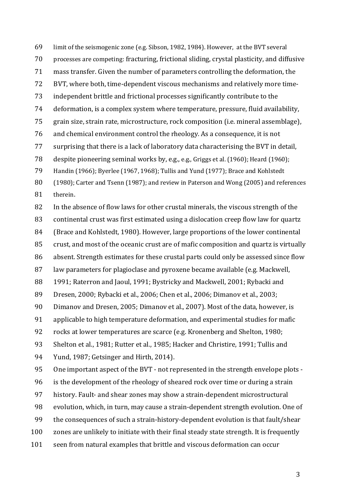69 limit of the seismogenic zone (e.g. Sibson, 1982, 1984). However, at the BVT several 70 processes are competing: fracturing, frictional sliding, crystal plasticity, and diffusive 71 mass transfer. Given the number of parameters controlling the deformation, the 72 BVT, where both, time-dependent viscous mechanisms and relatively more time-73 independent brittle and frictional processes significantly contribute to the 74 deformation, is a complex system where temperature, pressure, fluid availability, 75 grain size, strain rate, microstructure, rock composition (i.e. mineral assemblage), 76 and chemical environment control the rheology. As a consequence, it is not 77 surprising that there is a lack of laboratory data characterising the BVT in detail, 78 despite pioneering seminal works by, e.g., e.g., Griggs et al. (1960); Heard (1960); 79 Handin (1966); Byerlee (1967, 1968); Tullis and Yund (1977); Brace and Kohlstedt 80 (1980); Carter and Tsenn (1987); and review in Paterson and Wong (2005) and references 81 therein. 82 In the absence of flow laws for other crustal minerals, the viscous strength of the 83 continental crust was first estimated using a dislocation creep flow law for quartz 84 (Brace and Kohlstedt, 1980). However, large proportions of the lower continental 85 crust, and most of the oceanic crust are of mafic composition and quartz is virtually 86 absent. Strength estimates for these crustal parts could only be assessed since flow 87 law parameters for plagioclase and pyroxene became available (e.g. Mackwell, 88 1991; Raterron and Jaoul, 1991; Bystricky and Mackwell, 2001; Rybacki and 89 Dresen, 2000; Rybacki et al., 2006; Chen et al., 2006; Dimanov et al., 2003; 90 Dimanov and Dresen, 2005; Dimanov et al., 2007). Most of the data, however, is 91 applicable to high temperature deformation, and experimental studies for mafic 92 rocks at lower temperatures are scarce (e.g. Kronenberg and Shelton, 1980; 93 Shelton et al., 1981; Rutter et al., 1985; Hacker and Christire, 1991; Tullis and 94 Yund, 1987; Getsinger and Hirth, 2014). 95 One important aspect of the BVT - not represented in the strength envelope plots -96 is the development of the rheology of sheared rock over time or during a strain 97 history. Fault- and shear zones may show a strain-dependent microstructural 98 evolution, which, in turn, may cause a strain-dependent strength evolution. One of 99 the consequences of such a strain-history-dependent evolution is that fault/shear 100 zones are unlikely to initiate with their final steady state strength. It is frequently 101 seen from natural examples that brittle and viscous deformation can occur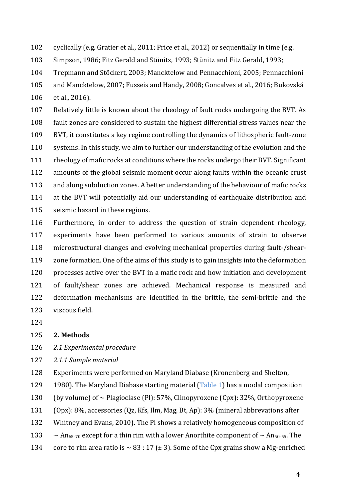102 cyclically (e.g. Gratier et al., 2011; Price et al., 2012) or sequentially in time (e.g.

103 Simpson, 1986; Fitz Gerald and Stünitz, 1993; Stünitz and Fitz Gerald, 1993;

104 Trepmann and Stöckert, 2003; Mancktelow and Pennacchioni, 2005; Pennacchioni

105 and Mancktelow, 2007; Fusseis and Handy, 2008; Goncalves et al., 2016; Bukovská

106 et al., 2016).

107 Relatively little is known about the rheology of fault rocks undergoing the BVT. As 108 fault zones are considered to sustain the highest differential stress values near the 109 BVT, it constitutes a key regime controlling the dynamics of lithospheric fault-zone 110 systems. In this study, we aim to further our understanding of the evolution and the 111 rheology of mafic rocks at conditions where the rocks undergo their BVT. Significant 112 amounts of the global seismic moment occur along faults within the oceanic crust 113 and along subduction zones. A better understanding of the behaviour of mafic rocks 114 at the BVT will potentially aid our understanding of earthquake distribution and 115 seismic hazard in these regions.

116 Furthermore, in order to address the question of strain dependent rheology, 117 experiments have been performed to various amounts of strain to observe 118 microstructural changes and evolving mechanical properties during fault-/shear-119 zone formation. One of the aims of this study is to gain insights into the deformation 120 processes active over the BVT in a mafic rock and how initiation and development 121 of fault/shear zones are achieved. Mechanical response is measured and 122 deformation mechanisms are identified in the brittle, the semi-brittle and the 123 viscous field.

124

#### 125 **2. Methods**

126 *2.1 Experimental procedure*

127 *2.1.1 Sample material*

128 Experiments were performed on Maryland Diabase (Kronenberg and Shelton,

129 1980). The Maryland Diabase starting material (Table 1) has a modal composition

130 (by volume) of  $\sim$  Plagioclase (Pl): 57%, Clinopyroxene (Cpx): 32%, Orthopyroxene

- 131 (Opx): 8%, accessories (Qz, Kfs, Ilm, Mag, Bt, Ap): 3% (mineral abbrevations after
- 132 Whitney and Evans, 2010). The Pl shows a relatively homogeneous composition of
- 133  $\sim$  An<sub>65-70</sub> except for a thin rim with a lower Anorthite component of  $\sim$  An<sub>50-55</sub>. The
- 134 core to rim area ratio is  $\sim$  83 : 17 ( $\pm$  3). Some of the Cpx grains show a Mg-enriched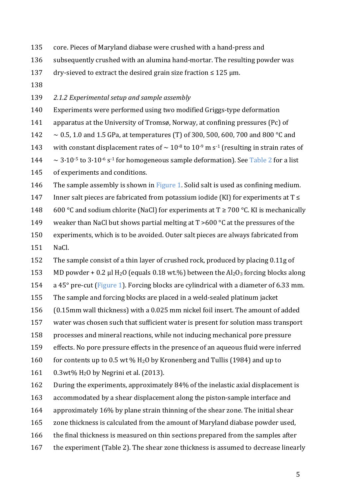- 135 core. Pieces of Maryland diabase were crushed with a hand-press and
- 136 subsequently crushed with an alumina hand-mortar. The resulting powder was
- 137 dry-sieved to extract the desired grain size fraction  $\leq 125$  µm.
- 138
- 139 2.1.2 Experimental setup and sample assembly
- 140 Experiments were performed using two modified Griggs-type deformation
- 141 apparatus at the University of Tromsø, Norway, at confining pressures (Pc) of
- 142  $\sim$  0.5, 1.0 and 1.5 GPa, at temperatures (T) of 300, 500, 600, 700 and 800 °C and
- 143 with constant displacement rates of  $\sim 10^{-8}$  to  $10^{-9}$  m s<sup>-1</sup> (resulting in strain rates of
- $144 \sim 3.10^{-5}$  to  $3.10^{-6}$  s<sup>-1</sup> for homogeneous sample deformation). See Table 2 for a list
- 145 of experiments and conditions.
- 146 The sample assembly is shown in Figure 1. Solid salt is used as confining medium.
- 147 Inner salt pieces are fabricated from potassium iodide (KI) for experiments at  $T \leq$
- 148 600 °C and sodium chlorite (NaCl) for experiments at  $T \ge 700$  °C. KI is mechanically
- 149 weaker than NaCl but shows partial melting at  $T > 600$  °C at the pressures of the
- 150 experiments, which is to be avoided. Outer salt pieces are always fabricated from
- 151 NaCl.
- 152 The sample consist of a thin layer of crushed rock, produced by placing 0.11g of
- 153 MD powder + 0.2 µl H<sub>2</sub>O (equals 0.18 wt.%) between the  $Al_2O_3$  forcing blocks along
- 154 a 45 $\degree$  pre-cut (Figure 1). Forcing blocks are cylindrical with a diameter of 6.33 mm.
- 155 The sample and forcing blocks are placed in a weld-sealed platinum jacket
- 156 (0.15mm wall thickness) with a 0.025 mm nickel foil insert. The amount of added
- 157 water was chosen such that sufficient water is present for solution mass transport
- 158 processes and mineral reactions, while not inducing mechanical pore pressure
- 159 effects. No pore pressure effects in the presence of an aqueous fluid were inferred
- 160 for contents up to 0.5 wt %  $H_2O$  by Kronenberg and Tullis (1984) and up to
- 161  $0.3wt\%$  H<sub>2</sub>O by Negrini et al. (2013).
- 162 During the experiments, approximately 84% of the inelastic axial displacement is
- 163 accommodated by a shear displacement along the piston-sample interface and
- 164 approximately 16% by plane strain thinning of the shear zone. The initial shear
- 165 zone thickness is calculated from the amount of Maryland diabase powder used,
- 166 the final thickness is measured on thin sections prepared from the samples after
- 167 the experiment (Table 2). The shear zone thickness is assumed to decrease linearly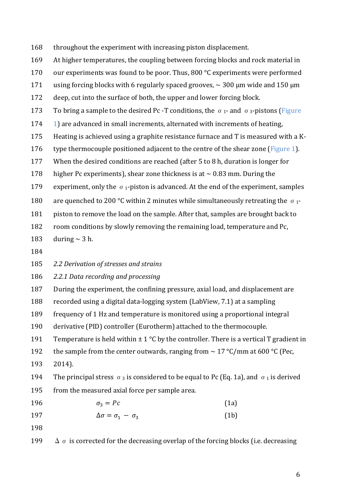168 throughout the experiment with increasing piston displacement.

169 At higher temperatures, the coupling between forcing blocks and rock material in

170 our experiments was found to be poor. Thus, 800  $\degree$ C experiments were performed

171 using forcing blocks with 6 regularly spaced grooves,  $\sim 300$  µm wide and 150 µm

172 deep, cut into the surface of both, the upper and lower forcing block.

173 To bring a sample to the desired Pc -T conditions, the  $\sigma_1$ - and  $\sigma_3$ -pistons (Figure

 $174$  1) are advanced in small increments, alternated with increments of heating,

175 Heating is achieved using a graphite resistance furnace and  $T$  is measured with a K-

- 176 type thermocouple positioned adjacent to the centre of the shear zone (Figure 1).
- 177 When the desired conditions are reached (after 5 to 8 h, duration is longer for
- 178 higher Pc experiments), shear zone thickness is at  $\sim 0.83$  mm. During the

179 experiment, only the  $\sigma_1$ -piston is advanced. At the end of the experiment, samples

180 are quenched to 200 °C within 2 minutes while simultaneously retreating the  $\sigma_1$ -

181 piston to remove the load on the sample. After that, samples are brought back to

182 room conditions by slowly removing the remaining load, temperature and Pc,

183 during  $\sim$  3 h.

184

185 2.2 Derivation of stresses and strains

186 2.2.1 Data recording and processing

187 During the experiment, the confining pressure, axial load, and displacement are

188 recorded using a digital data-logging system (LabView, 7.1) at a sampling

189 frequency of 1 Hz and temperature is monitored using a proportional integral

190 derivative (PID) controller (Eurotherm) attached to the thermocouple.

191 Temperature is held within  $\pm 1$  °C by the controller. There is a vertical T gradient in

192 the sample from the center outwards, ranging from  $\sim 17 \degree C/mm$  at 600 °C (Pec,

193 2014).

194 The principal stress  $\sigma_3$  is considered to be equal to Pc (Eq. 1a), and  $\sigma_1$  is derived 195 from the measured axial force per sample area.

- 196  $\sigma_3 = Pc$  (1a)
- 197  $\Delta \sigma = \sigma_1 \sigma_3$  (1b)
- 198

199  $\Delta \sigma$  is corrected for the decreasing overlap of the forcing blocks (i.e. decreasing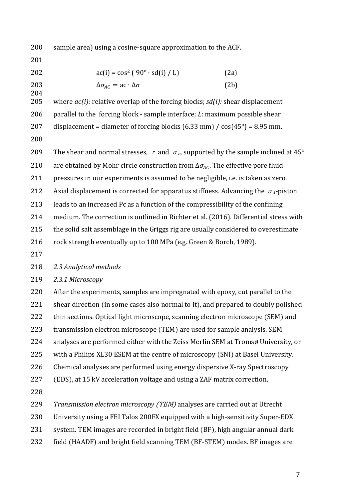200 sample area) using a cosine-square approximation to the ACF.

201

| 202      | $ac(i) = cos^2(90^\circ \cdot sd(i) / L)$                                                                                                                                                                                                                                                     | (2a) |
|----------|-----------------------------------------------------------------------------------------------------------------------------------------------------------------------------------------------------------------------------------------------------------------------------------------------|------|
| 203      | $\Delta \sigma_{AC} = ac \cdot \Delta \sigma$                                                                                                                                                                                                                                                 | (2b) |
| 204      |                                                                                                                                                                                                                                                                                               |      |
| $\Omega$ | $\Box$ . $\Box$ . $\Box$ . $\Box$ . $\Box$ . $\Box$ . $\Box$ . $\Box$ . $\Box$ . $\Box$ . $\Box$ . $\Box$ . $\Box$ . $\Box$ . $\Box$ . $\Box$ . $\Box$ . $\Box$ . $\Box$ . $\Box$ . $\Box$ . $\Box$ . $\Box$ . $\Box$ . $\Box$ . $\Box$ . $\Box$ . $\Box$ . $\Box$ . $\Box$ . $\Box$ . $\Box$ |      |

205 where  $ac(i)$ : relative overlap of the forcing blocks;  $sd(i)$ : shear displacement 206 parallel to the forcing block - sample interface; *: maximum possible shear* 207 displacement = diameter of forcing blocks  $(6.33 \text{ mm})$  /  $\cos(45^\circ) = 8.95 \text{ mm}$ . 208

209 The shear and normal stresses,  $\tau$  and  $\sigma_n$ , supported by the sample inclined at 45° 210 are obtained by Mohr circle construction from  $\Delta \sigma_{4C}$ . The effective pore fluid 211 pressures in our experiments is assumed to be negligible, i.e. is taken as zero. 212 Axial displacement is corrected for apparatus stiffness. Advancing the  $\sigma_1$ -piston 213 leads to an increased Pc as a function of the compressibility of the confining 214 medium. The correction is outlined in Richter et al. (2016). Differential stress with 215 the solid salt assemblage in the Griggs rig are usually considered to overestimate 216 rock strength eventually up to 100 MPa (e.g. Green & Borch, 1989). 217

218 *2.3 Analytical methods*

219 *2.3.1 Microscopy*

220 After the experiments, samples are impregnated with epoxy, cut parallel to the 221 shear direction (in some cases also normal to it), and prepared to doubly polished 222 thin sections. Optical light microscope, scanning electron microscope (SEM) and 223 transmission electron microscope (TEM) are used for sample analysis. SEM 224 analyses are performed either with the Zeiss Merlin SEM at Tromsø University, or 225 with a Philips XL30 ESEM at the centre of microscopy (SNI) at Basel University. 226 Chemical analyses are performed using energy dispersive X-ray Spectroscopy

227 (EDS), at 15 kV acceleration voltage and using a ZAF matrix correction.

228

229 Transmission electron microscopy (TEM) analyses are carried out at Utrecht

230 University using a FEI Talos 200FX equipped with a high-sensitivity Super-EDX

- 231 system. TEM images are recorded in bright field (BF), high angular annual dark
- 232 field (HAADF) and bright field scanning TEM (BF-STEM) modes. BF images are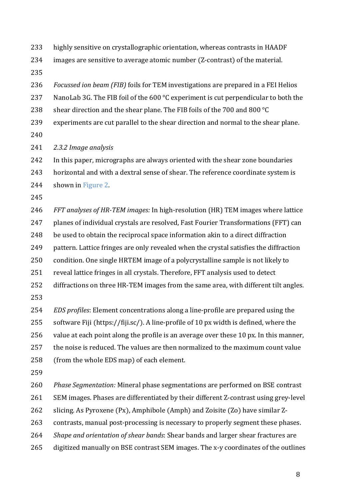233 highly sensitive on crystallographic orientation, whereas contrasts in HAADF

 $234$  images are sensitive to average atomic number (Z-contrast) of the material.

235

236 *Focussed ion beam (FIB)* foils for TEM investigations are prepared in a FEI Helios

237 NanoLab 3G. The FIB foil of the 600  $\degree$ C experiment is cut perpendicular to both the

238 shear direction and the shear plane. The FIB foils of the 700 and 800  $^{\circ}$ C

239 experiments are cut parallel to the shear direction and normal to the shear plane.

240

241 *2.3.2 Image analysis*

242 In this paper, micrographs are always oriented with the shear zone boundaries

243 horizontal and with a dextral sense of shear. The reference coordinate system is

244 shown in Figure 2.

245

246 *FFT analyses of HR-TEM images:* In high-resolution (HR) TEM images where lattice 247 planes of individual crystals are resolved, Fast Fourier Transformations (FFT) can 248 be used to obtain the reciprocal space information akin to a direct diffraction 249 pattern. Lattice fringes are only revealed when the crystal satisfies the diffraction 250 condition. One single HRTEM image of a polycrystalline sample is not likely to 251 reveal lattice fringes in all crystals. Therefore, FFT analysis used to detect 252 diffractions on three HR-TEM images from the same area, with different tilt angles.

253

254 *EDS* profiles: Element concentrations along a line-profile are prepared using the

255 software Fiji (https://fiji.sc/). A line-profile of 10 px width is defined, where the

 $256$  value at each point along the profile is an average over these 10 px. In this manner,

257 the noise is reduced. The values are then normalized to the maximum count value

258 (from the whole EDS map) of each element.

259

260 Phase *Segmentation:* Mineral phase segmentations are performed on BSE contrast

261 SEM images. Phases are differentiated by their different Z-contrast using grey-level

262 slicing. As Pyroxene (Px), Amphibole (Amph) and Zoisite (Zo) have similar Z-

263 contrasts, manual post-processing is necessary to properly segment these phases.

264 *Shape and orientation of shear bands*: Shear bands and larger shear fractures are

265 digitized manually on BSE contrast SEM images. The x-y coordinates of the outlines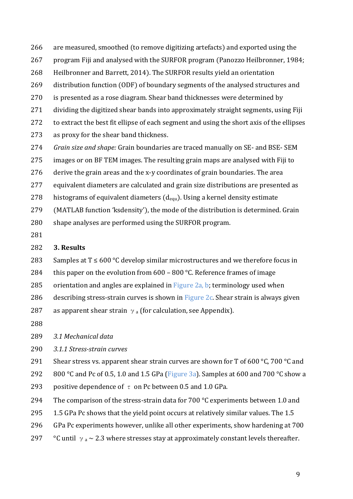- 266 are measured, smoothed (to remove digitizing artefacts) and exported using the
- 267 program Fiji and analysed with the SURFOR program (Panozzo Heilbronner, 1984;
- 268 Heilbronner and Barrett, 2014). The SURFOR results yield an orientation
- 269 distribution function (ODF) of boundary segments of the analysed structures and
- 270 is presented as a rose diagram. Shear band thicknesses were determined by
- $271$  dividing the digitized shear bands into approximately straight segments, using Fiji
- 272 to extract the best fit ellipse of each segment and using the short axis of the ellipses
- 273 as proxy for the shear band thickness.
- 274 *Grain size and shape:* Grain boundaries are traced manually on SE- and BSE- SEM
- 275 images or on BF TEM images. The resulting grain maps are analysed with Fiji to
- $276$  derive the grain areas and the x-y coordinates of grain boundaries. The area
- 277 equivalent diameters are calculated and grain size distributions are presented as
- 278 histograms of equivalent diameters  $(d_{equ})$ . Using a kernel density estimate
- 279 (MATLAB function 'ksdensity'), the mode of the distribution is determined. Grain
- 280 shape analyses are performed using the SURFOR program.
- 281

#### 282 **3. Results**

- 283 Samples at  $T \le 600$  °C develop similar microstructures and we therefore focus in
- 284 this paper on the evolution from  $600 800$  °C. Reference frames of image
- 285 orientation and angles are explained in Figure 2a, b; terminology used when
- 286 describing stress-strain curves is shown in  $Figure 2c$ . Shear strain is always given
- 287 as apparent shear strain  $\gamma_a$  (for calculation, see Appendix).
- 288
- 289 *3.1 Mechanical data*

290 *3.1.1 Stress-strain curves* 

291 Shear stress vs. apparent shear strain curves are shown for T of 600 °C, 700 °C and

292 800 °C and Pc of 0.5, 1.0 and 1.5 GPa (Figure 3a). Samples at 600 and 700 °C show a

293 positive dependence of  $\tau$  on Pc between 0.5 and 1.0 GPa.

- 294 The comparison of the stress-strain data for 700  $\degree$ C experiments between 1.0 and
- 295  $1.5$  GPa Pc shows that the vield point occurs at relatively similar values. The 1.5
- 296 GPa Pc experiments however, unlike all other experiments, show hardening at 700
- 297 °C until  $\gamma_a \sim 2.3$  where stresses stay at approximately constant levels thereafter.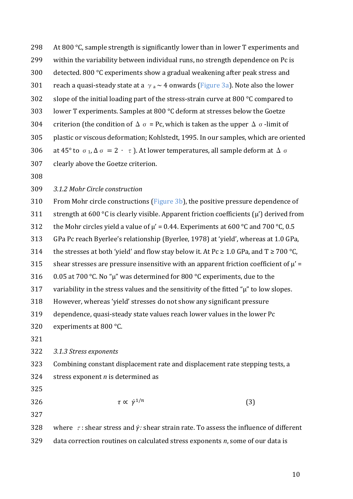298 At 800  $\degree$ C, sample strength is significantly lower than in lower T experiments and 299 within the variability between individual runs, no strength dependence on Pc is 300 detected. 800 °C experiments show a gradual weakening after peak stress and 301 reach a quasi-steady state at a  $\gamma_a \sim 4$  onwards (Figure 3a). Note also the lower 302 slope of the initial loading part of the stress-strain curve at 800  $\degree$ C compared to 303 lower T experiments. Samples at 800  $\degree$ C deform at stresses below the Goetze 304 criterion (the condition of  $\Delta \sigma$  = Pc, which is taken as the upper  $\Delta \sigma$ -limit of 305 plastic or viscous deformation; Kohlstedt, 1995. In our samples, which are oriented 306 at 45° to  $\sigma_1$ ,  $\Delta \sigma = 2 \cdot \tau$ ). At lower temperatures, all sample deform at  $\Delta \sigma$ 307 clearly above the Goetze criterion. 308

309 *3.1.2 Mohr Circle construction*

310 From Mohr circle constructions (Figure 3b), the positive pressure dependence of 311 strength at  $600 °C$  is clearly visible. Apparent friction coefficients  $(\mu')$  derived from 312 the Mohr circles yield a value of  $\mu' = 0.44$ . Experiments at 600 °C and 700 °C, 0.5 313 GPa Pc reach Byerlee's relationship (Byerlee, 1978) at 'yield', whereas at 1.0 GPa, 314 the stresses at both 'yield' and flow stay below it. At Pc  $\geq 1.0$  GPa, and T  $\geq 700$  °C, 315 shear stresses are pressure insensitive with an apparent friction coefficient of  $\mu'$  = 316 0.05 at 700 °C. No "u" was determined for 800 °C experiments, due to the  $317$  variability in the stress values and the sensitivity of the fitted " $\mu$ " to low slopes. 318 However, whereas 'yield' stresses do not show any significant pressure

- 319 dependence, quasi-steady state values reach lower values in the lower Pc
- 320 experiments at 800 $\degree$ C.

321

322 *3.1.3 Stress exponents* 

323 Combining constant displacement rate and displacement rate stepping tests, a

324 stress exponent  $n$  is determined as

325

326  $\tau \propto \dot{\gamma}^{1/n}$  (3)

327

328 where  $\tau$ : shear stress and  $\dot{\gamma}$ : shear strain rate. To assess the influence of different 329 data correction routines on calculated stress exponents *n*, some of our data is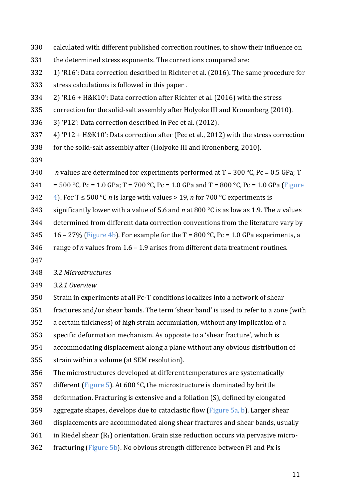- 330 calculated with different published correction routines, to show their influence on
- 331 the determined stress exponents. The corrections compared are:
- 332 1) 'R16': Data correction described in Richter et al. (2016). The same procedure for
- 333 stress calculations is followed in this paper.
- 334 2) 'R16 + H&K10': Data correction after Richter et al. (2016) with the stress
- 335 correction for the solid-salt assembly after Holyoke III and Kronenberg (2010).
- 336 3) 'P12': Data correction described in Pec et al. (2012).
- 337 4) 'P12 + H&K10': Data correction after (Pec et al., 2012) with the stress correction
- 338 for the solid-salt assembly after (Holyoke III and Kronenberg, 2010).
- 339
- 340 *n* values are determined for experiments performed at  $T = 300 \degree C$ , Pc = 0.5 GPa; T
- 341 = 500 °C, Pc = 1.0 GPa; T = 700 °C, Pc = 1.0 GPa and T = 800 °C, Pc = 1.0 GPa (Figure
- 342  $\left(4\right)$ . For T  $\leq$  500 °C *n* is large with values > 19, *n* for 700 °C experiments is
- 343 significantly lower with a value of 5.6 and *n* at 800 °C is as low as 1.9. The *n* values
- 344 determined from different data correction conventions from the literature vary by
- 345 16 27% (Figure 4b). For example for the  $T = 800$  °C, Pc = 1.0 GPa experiments, a
- 346 range of *n* values from  $1.6 1.9$  arises from different data treatment routines.
- 347

348 *3.2 Microstructures* 

- 349 *3.2.1 Overview*
- 350 Strain in experiments at all Pc-T conditions localizes into a network of shear
- 351 fractures and/or shear bands. The term 'shear band' is used to refer to a zone (with
- 352 a certain thickness) of high strain accumulation, without any implication of a
- 353 specific deformation mechanism. As opposite to a 'shear fracture', which is
- 354 accommodating displacement along a plane without any obvious distribution of
- 355 strain within a volume (at SEM resolution).
- 356 The microstructures developed at different temperatures are systematically
- 357 different (Figure 5). At 600  $\degree$ C, the microstructure is dominated by brittle
- 358 deformation. Fracturing is extensive and a foliation (S), defined by elongated
- 359 aggregate shapes, develops due to cataclastic flow (Figure 5a, b). Larger shear
- 360 displacements are accommodated along shear fractures and shear bands, usually
- 361 in Riedel shear  $(R_1)$  orientation. Grain size reduction occurs via pervasive micro-
- 362 fracturing (Figure 5b). No obvious strength difference between Pl and Px is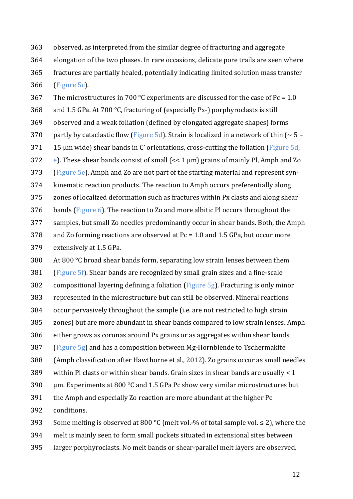363 observed, as interpreted from the similar degree of fracturing and aggregate 364 elongation of the two phases. In rare occasions, delicate pore trails are seen where 365 fractures are partially healed, potentially indicating limited solution mass transfer 366 (Figure 5c).

367 The microstructures in 700 °C experiments are discussed for the case of Pc = 1.0 368 and 1.5 GPa. At 700 °C, fracturing of (especially Px-) porphyroclasts is still 369 observed and a weak foliation (defined by elongated aggregate shapes) forms 370 partly by cataclastic flow (Figure 5d). Strain is localized in a network of thin  $\sim 5 371$  15 µm wide) shear bands in C' orientations, cross-cutting the foliation (Figure 5d, 372 e). These shear bands consist of small  $\ll$  1  $\mu$ m) grains of mainly Pl, Amph and Zo  $373$  (Figure 5e). Amph and Zo are not part of the starting material and represent syn-374 kinematic reaction products. The reaction to Amph occurs preferentially along 375 zones of localized deformation such as fractures within Px clasts and along shear 376 bands (Figure 6). The reaction to Zo and more albitic Pl occurs throughout the 377 samples, but small Zo needles predominantly occur in shear bands. Both, the Amph 378 and Zo forming reactions are observed at  $Pc = 1.0$  and 1.5 GPa, but occur more 379 extensively at 1.5 GPa.

380 At 800  $\degree$ C broad shear bands form, separating low strain lenses between them 381 (Figure 5f). Shear bands are recognized by small grain sizes and a fine-scale 382 compositional layering defining a foliation (Figure 5g). Fracturing is only minor 383 represented in the microstructure but can still be observed. Mineral reactions 384 occur pervasively throughout the sample (i.e. are not restricted to high strain 385 zones) but are more abundant in shear bands compared to low strain lenses. Amph 386 either grows as coronas around Px grains or as aggregates within shear bands 387 (Figure  $5g$ ) and has a composition between Mg-Hornblende to Tschermakite 388 (Amph classification after Hawthorne et al., 2012). Zo grains occur as small needles 389 within Pl clasts or within shear bands. Grain sizes in shear bands are usually  $\lt 1$ 390  $\mu$ m. Experiments at 800 °C and 1.5 GPa Pc show very similar microstructures but 391 the Amph and especially Zo reaction are more abundant at the higher Pc 392 conditions. 393 Some melting is observed at 800 °C (melt vol.-% of total sample vol.  $\leq$  2), where the

394 melt is mainly seen to form small pockets situated in extensional sites between

395 larger porphyroclasts. No melt bands or shear-parallel melt layers are observed.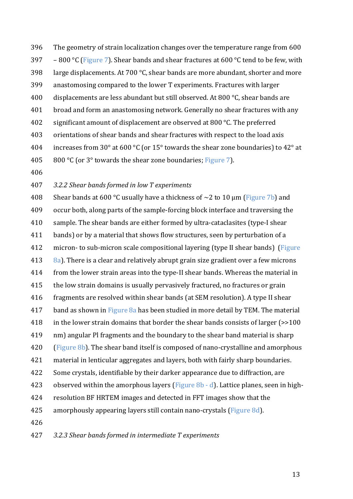396 The geometry of strain localization changes over the temperature range from 600 397 – 800 °C (Figure 7). Shear bands and shear fractures at 600 °C tend to be few, with 398 large displacements. At  $700 \degree C$ , shear bands are more abundant, shorter and more 399 anastomosing compared to the lower T experiments. Fractures with larger 400 displacements are less abundant but still observed. At 800  $\degree$ C, shear bands are 401 broad and form an anastomosing network. Generally no shear fractures with any 402 significant amount of displacement are observed at 800  $\degree$ C. The preferred 403 orientations of shear bands and shear fractures with respect to the load axis 404 increases from 30° at 600 °C (or 15° towards the shear zone boundaries) to 42° at 405 800 °C (or  $3^\circ$  towards the shear zone boundaries; Figure 7).

406

#### 407 *3.2.2 Shear bands formed in low T experiments*

408 Shear bands at 600 °C usually have a thickness of  $\sim$ 2 to 10  $\mu$ m (Figure 7b) and 409 occur both, along parts of the sample-forcing block interface and traversing the 410 sample. The shear bands are either formed by ultra-cataclasites (type-I shear 411 bands) or by a material that shows flow structures, seen by perturbation of a 412 micron- to sub-micron scale compositional layering (type II shear bands) (Figure 413  $\,$  8a). There is a clear and relatively abrupt grain size gradient over a few microns 414 from the lower strain areas into the type-II shear bands. Whereas the material in 415 the low strain domains is usually pervasively fractured, no fractures or grain 416 fragments are resolved within shear bands (at SEM resolution). A type II shear 417 band as shown in Figure  $8a$  has been studied in more detail by TEM. The material  $418$  in the lower strain domains that border the shear bands consists of larger ( $\geq$ 100 419 nm) angular Pl fragments and the boundary to the shear band material is sharp 420 (Figure  $8b$ ). The shear band itself is composed of nano-crystalline and amorphous 421 material in lenticular aggregates and layers, both with fairly sharp boundaries. 422 Some crystals, identifiable by their darker appearance due to diffraction, are 423 observed within the amorphous layers (Figure  $8b - d$ ). Lattice planes, seen in high-424 resolution BF HRTEM images and detected in FFT images show that the 425 amorphously appearing layers still contain nano-crystals (Figure 8d). 426

427 *3.2.3 Shear bands formed in intermediate T experiments*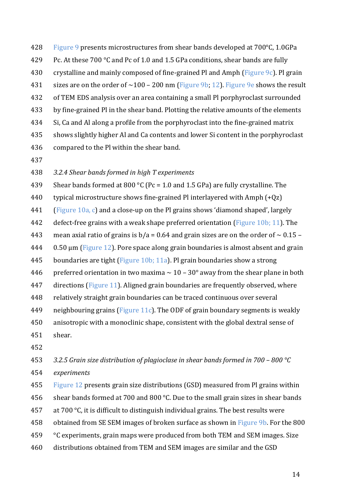428 Figure 9 presents microstructures from shear bands developed at 700°C, 1.0GPa 429 Pc. At these  $700 °C$  and Pc of 1.0 and 1.5 GPa conditions, shear bands are fully 430 crystalline and mainly composed of fine-grained Pl and Amph (Figure 9c). Pl grain 431 sizes are on the order of  $\sim$ 100 – 200 nm (Figure 9b; 12). Figure 9e shows the result 432 of TEM EDS analysis over an area containing a small Pl porphyroclast surrounded 433 by fine-grained Pl in the shear band. Plotting the relative amounts of the elements 434 Si, Ca and Al along a profile from the porphyroclast into the fine-grained matrix 435 shows slightly higher Al and Ca contents and lower Si content in the porphyroclast 436 compared to the Pl within the shear band.

437

#### 438 *3.2.4 Shear bands formed in high T experiments*

439 Shear bands formed at 800 °C (Pc = 1.0 and 1.5 GPa) are fully crystalline. The

- 440 typical microstructure shows fine-grained Pl interlayered with Amph  $(+Qz)$
- 441 (Figure  $10a$ , c) and a close-up on the Pl grains shows 'diamond shaped', largely

442 defect-free grains with a weak shape preferred orientation (Figure 10b; 11). The

- 443 mean axial ratio of grains is  $b/a = 0.64$  and grain sizes are on the order of  $\sim 0.15 1.5$
- $444$  0.50  $\mu$ m (Figure 12). Pore space along grain boundaries is almost absent and grain
- 445 boundaries are tight (Figure 10b; 11a). Pl grain boundaries show a strong
- 446 preferred orientation in two maxima  $\sim 10 30^{\circ}$  away from the shear plane in both
- 447 directions (Figure 11). Aligned grain boundaries are frequently observed, where
- 448 relatively straight grain boundaries can be traced continuous over several
- 449 neighbouring grains (Figure 11c). The ODF of grain boundary segments is weakly
- 450 anisotropic with a monoclinic shape, consistent with the global dextral sense of
- 451 shear.
- 452

## 453 *3.2.5 Grain size distribution of plagioclase in shear bands formed in 700 – 800 °C* 454 *experiments*

455 Figure 12 presents grain size distributions (GSD) measured from Pl grains within 456 shear bands formed at 700 and 800  $^{\circ}$ C. Due to the small grain sizes in shear bands

- 457 at 700  $\degree$ C, it is difficult to distinguish individual grains. The best results were
- 458 obtained from SE SEM images of broken surface as shown in Figure 9b. For the 800
- 459  $\degree$  C experiments, grain maps were produced from both TEM and SEM images. Size
- 460 distributions obtained from TEM and SEM images are similar and the GSD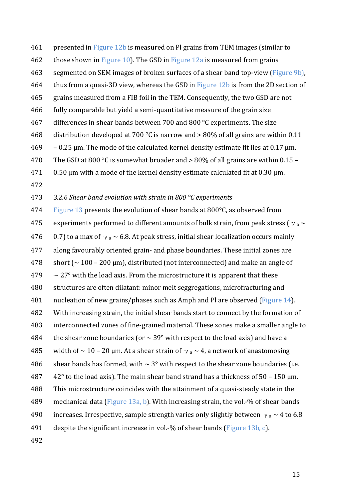461 presented in Figure 12b is measured on Pl grains from TEM images (similar to

- 462 those shown in Figure 10). The GSD in Figure 12a is measured from grains
- 463 segmented on SEM images of broken surfaces of a shear band top-view (Figure 9b),
- 464 thus from a quasi-3D view, whereas the GSD in Figure 12b is from the 2D section of
- 465 grains measured from a FIB foil in the TEM. Consequently, the two GSD are not
- 466 fully comparable but yield a semi-quantitative measure of the grain size
- 467 differences in shear bands between 700 and 800  $\degree$ C experiments. The size
- 468 distribution developed at 700 °C is narrow and  $> 80\%$  of all grains are within 0.11
- $469 0.25$  µm. The mode of the calculated kernel density estimate fit lies at 0.17 µm.
- 470 The GSD at 800 °C is somewhat broader and  $> 80\%$  of all grains are within 0.15 –
- $471$  0.50 µm with a mode of the kernel density estimate calculated fit at 0.30 µm.
- 472

473 *3.2.6 Shear band evolution with strain in 800 °C experiments*

474 Figure 13 presents the evolution of shear bands at  $800^{\circ}$ C, as observed from 475 experiments performed to different amounts of bulk strain, from peak stress ( $\gamma_a \sim$ 476 0.7) to a max of  $\gamma_a \sim 6.8$ . At peak stress, initial shear localization occurs mainly 477 along favourably oriented grain- and phase boundaries. These initial zones are  $478$  short ( $\sim 100 - 200$  µm), distributed (not interconnected) and make an angle of  $479 \sim 27^\circ$  with the load axis. From the microstructure it is apparent that these 480 structures are often dilatant: minor melt seggregations, microfracturing and 481 nucleation of new grains/phases such as Amph and Pl are observed (Figure 14). 482 With increasing strain, the initial shear bands start to connect by the formation of 483 interconnected zones of fine-grained material. These zones make a smaller angle to 484 the shear zone boundaries (or  $\sim$  39° with respect to the load axis) and have a 485 width of  $\sim$  10 – 20 μm. At a shear strain of  $\gamma$  a  $\sim$  4, a network of anastomosing 486 shear bands has formed, with  $\sim 3^{\circ}$  with respect to the shear zone boundaries (i.e. 487  $42^\circ$  to the load axis). The main shear band strand has a thickness of 50 – 150  $\mu$ m. 488 This microstructure coincides with the attainment of a quasi-steady state in the 489 mechanical data (Figure 13a, b). With increasing strain, the vol.-% of shear bands 490 increases. Irrespective, sample strength varies only slightly between  $\gamma_a \sim 4$  to 6.8 491 despite the significant increase in vol.-% of shear bands (Figure 13b, c).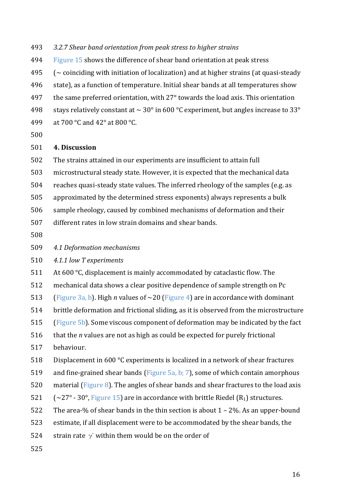- 493 *3.2.7 Shear band orientation from peak stress to higher strains*
- 494 Figure 15 shows the difference of shear band orientation at peak stress
- 495  $\sim$  coinciding with initiation of localization) and at higher strains (at quasi-steady
- 496 state), as a function of temperature. Initial shear bands at all temperatures show
- 497 the same preferred orientation, with  $27^\circ$  towards the load axis. This orientation
- 498 stays relatively constant at  $\sim 30^{\circ}$  in 600 °C experiment, but angles increase to 33°
- 499 at 700 °C and 42° at 800 °C.
- 500

#### 501 **4. Discussion**

- 502 The strains attained in our experiments are insufficient to attain full
- 503 microstructural steady state. However, it is expected that the mechanical data
- 504 reaches quasi-steady state values. The inferred rheology of the samples (e.g. as
- 505 approximated by the determined stress exponents) always represents a bulk
- 506 sample rheology, caused by combined mechanisms of deformation and their
- 507 different rates in low strain domains and shear bands.
- 508
- 509 *4.1 Deformation mechanisms*
- 510 *4.1.1 low T experiments*
- 511 At  $600^{\circ}$ C, displacement is mainly accommodated by cataclastic flow. The
- 512 mechanical data shows a clear positive dependence of sample strength on Pc
- 513 (Figure 3a, b). High *n* values of  $\sim$ 20 (Figure 4) are in accordance with dominant
- 514 brittle deformation and frictional sliding, as it is observed from the microstructure
- 515 (Figure 5b). Some viscous component of deformation may be indicated by the fact
- 516 that the *n* values are not as high as could be expected for purely frictional
- 517 behaviour.
- 518 Displacement in  $600 \degree C$  experiments is localized in a network of shear fractures
- 519 and fine-grained shear bands (Figure 5a, b; 7), some of which contain amorphous
- 520 material (Figure 8). The angles of shear bands and shear fractures to the load axis
- 521  $\sim$  (~27° 30°, Figure 15) are in accordance with brittle Riedel (R<sub>1</sub>) structures.
- 522 The area-% of shear bands in the thin section is about  $1 2$ %. As an upper-bound
- 523 estimate, if all displacement were to be accommodated by the shear bands, the
- 524 strain rate  $\gamma$  within them would be on the order of
- 525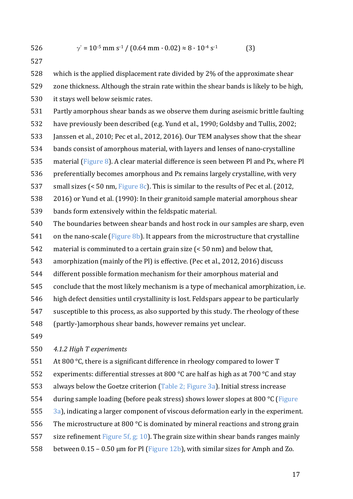$$
526 \qquad \gamma = 10^{-5} \text{ mm s}^{-1} / (0.64 \text{ mm} \cdot 0.02) \approx 8 \cdot 10^{-4} \text{ s}^{-1}
$$
 (3)

527

528 which is the applied displacement rate divided by 2% of the approximate shear 529 zone thickness. Although the strain rate within the shear bands is likely to be high, 530 it stays well below seismic rates.

531 Partly amorphous shear bands as we observe them during aseismic brittle faulting

532 have previously been described (e.g. Yund et al., 1990; Goldsby and Tullis, 2002;

533 Janssen et al., 2010; Pec et al., 2012, 2016). Our TEM analyses show that the shear

534 bands consist of amorphous material, with layers and lenses of nano-crystalline

535 material (Figure 8). A clear material difference is seen between Pl and Px, where Pl

536 preferentially becomes amorphous and Px remains largely crystalline, with very

537 small sizes  $\leq 50$  nm, Figure 8c). This is similar to the results of Pec et al. (2012,

- 538 2016) or Yund et al. (1990): In their granitoid sample material amorphous shear
- 539 bands form extensively within the feldspatic material.
- 540 The boundaries between shear bands and host rock in our samples are sharp, even

541 on the nano-scale (Figure 8b). It appears from the microstructure that crystalline

542 material is comminuted to a certain grain size  $\leq 50$  nm) and below that,

543 amorphization (mainly of the Pl) is effective. (Pec et al., 2012, 2016) discuss

544 different possible formation mechanism for their amorphous material and

545 conclude that the most likely mechanism is a type of mechanical amorphization, i.e.

- 546 high defect densities until crystallinity is lost. Feldspars appear to be particularly
- 547 susceptible to this process, as also supported by this study. The rheology of these
- 548 (partly-)amorphous shear bands, however remains yet unclear.
- 549

550 *4.1.2 High T experiments*

551 At 800  $\degree$ C, there is a significant difference in rheology compared to lower T

552 experiments: differential stresses at 800  $\degree$ C are half as high as at 700  $\degree$ C and stay

553 always below the Goetze criterion  $(Table 2; Figure 3a)$ . Initial stress increase

- 554 during sample loading (before peak stress) shows lower slopes at 800  $\degree$ C (Figure
- 555  $\frac{3}{a}$ , indicating a larger component of viscous deformation early in the experiment.
- 556 The microstructure at 800 °C is dominated by mineral reactions and strong grain
- 557 size refinement Figure 5f, g; 10). The grain size within shear bands ranges mainly
- 558 between  $0.15 0.50$  µm for Pl (Figure 12b), with similar sizes for Amph and Zo.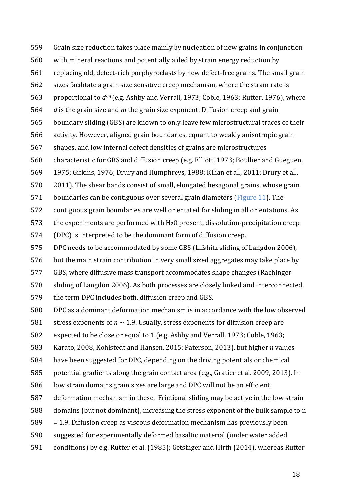559 Grain size reduction takes place mainly by nucleation of new grains in conjunction 560 with mineral reactions and potentially aided by strain energy reduction by 561 replacing old, defect-rich porphyroclasts by new defect-free grains. The small grain 562 sizes facilitate a grain size sensitive creep mechanism, where the strain rate is 563 proportional to  $d^m$  (e.g. Ashby and Verrall, 1973; Coble, 1963; Rutter, 1976), where 564 *d* is the grain size and *m* the grain size exponent. Diffusion creep and grain 565 boundary sliding (GBS) are known to only leave few microstructural traces of their 566 activity. However, aligned grain boundaries, equant to weakly anisotropic grain 567 shapes, and low internal defect densities of grains are microstructures 568 characteristic for GBS and diffusion creep (e.g. Elliott, 1973; Boullier and Gueguen, 569 1975; Gifkins, 1976; Drury and Humphreys, 1988; Kilian et al., 2011; Drury et al.,  $570$  2011). The shear bands consist of small, elongated hexagonal grains, whose grain 571 boundaries can be contiguous over several grain diameters (Figure 11). The 572 contiguous grain boundaries are well orientated for sliding in all orientations. As 573 the experiments are performed with  $H_2O$  present, dissolution-precipitation creep 574 (DPC) is interpreted to be the dominant form of diffusion creep. 575 DPC needs to be accommodated by some GBS (Lifshitz sliding of Langdon 2006), 576 but the main strain contribution in very small sized aggregates may take place by 577 GBS, where diffusive mass transport accommodates shape changes (Rachinger 578 sliding of Langdon 2006). As both processes are closely linked and interconnected, 579 the term DPC includes both, diffusion creep and GBS. 580 DPC as a dominant deformation mechanism is in accordance with the low observed 581 stress exponents of  $n \sim 1.9$ . Usually, stress exponents for diffusion creep are 582 expected to be close or equal to 1 (e.g. Ashby and Verrall, 1973; Coble, 1963; 583 Karato, 2008, Kohlstedt and Hansen, 2015; Paterson, 2013), but higher *n* values 584 have been suggested for DPC, depending on the driving potentials or chemical 585 potential gradients along the grain contact area (e.g., Gratier et al. 2009, 2013). In 586 low strain domains grain sizes are large and DPC will not be an efficient 587 deformation mechanism in these. Frictional sliding may be active in the low strain 588 domains (but not dominant), increasing the stress exponent of the bulk sample to n  $589 = 1.9$ . Diffusion creep as viscous deformation mechanism has previously been 590 suggested for experimentally deformed basaltic material (under water added 591 conditions) by e.g. Rutter et al. (1985); Getsinger and Hirth (2014), whereas Rutter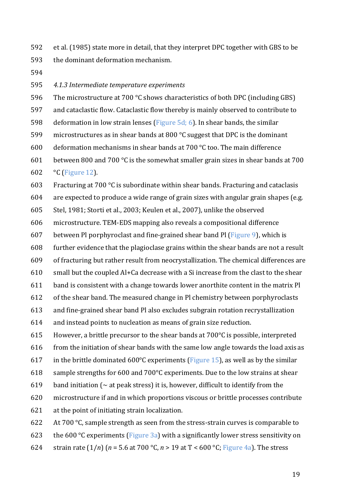592 et al. (1985) state more in detail, that they interpret DPC together with GBS to be 593 the dominant deformation mechanism.

594

#### 595 *4.1.3 Intermediate temperature experiments*

- 596 The microstructure at  $700\degree$ C shows characteristics of both DPC (including GBS)
- 597 and cataclastic flow. Cataclastic flow thereby is mainly observed to contribute to
- 598 deformation in low strain lenses (Figure  $5d$ ; 6). In shear bands, the similar
- 599 microstructures as in shear bands at 800  $\degree$ C suggest that DPC is the dominant
- 600 deformation mechanisms in shear bands at 700  $\degree$ C too. The main difference
- 601 between 800 and 700 °C is the somewhat smaller grain sizes in shear bands at 700 602  $\degree$ C (Figure 12).
- 603 Fracturing at 700 °C is subordinate within shear bands. Fracturing and cataclasis
- $604$  are expected to produce a wide range of grain sizes with angular grain shapes (e.g.
- 605 Stel, 1981; Storti et al., 2003; Keulen et al., 2007), unlike the observed
- 606 microstructure. TEM-EDS mapping also reveals a compositional difference
- 607 between Pl porphyroclast and fine-grained shear band Pl (Figure 9), which is
- 608 further evidence that the plagioclase grains within the shear bands are not a result
- 609 of fracturing but rather result from neocrystallization. The chemical differences are
- $610$  small but the coupled Al+Ca decrease with a Si increase from the clast to the shear
- 611 band is consistent with a change towards lower anorthite content in the matrix Pl
- 612 of the shear band. The measured change in Pl chemistry between porphyroclasts
- 613 and fine-grained shear band Pl also excludes subgrain rotation recrystallization
- $614$  and instead points to nucleation as means of grain size reduction.
- 615 However, a brittle precursor to the shear bands at  $700^{\circ}$ C is possible, interpreted
- 616 from the initiation of shear bands with the same low angle towards the load axis as
- 617 in the brittle dominated  $600^{\circ}$ C experiments (Figure 15), as well as by the similar
- 618 sample strengths for 600 and  $700^{\circ}$ C experiments. Due to the low strains at shear
- 619 band initiation ( $\sim$  at peak stress) it is, however, difficult to identify from the
- 620 microstructure if and in which proportions viscous or brittle processes contribute
- 621 at the point of initiating strain localization.
- 622 At  $700 °C$ , sample strength as seen from the stress-strain curves is comparable to
- 623 the  $600 °C$  experiments (Figure 3a) with a significantly lower stress sensitivity on
- 624 strain rate  $(1/n)$  ( $n = 5.6$  at 700 °C,  $n > 19$  at T < 600 °C; Figure 4a). The stress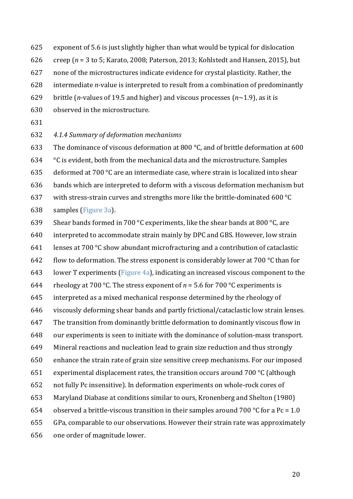- 625 exponent of 5.6 is just slightly higher than what would be typical for dislocation
- 626 creep  $(n = 3 \text{ to } 5; \text{Karato}, 2008; \text{Paterson}, 2013; \text{Kohlstedt}$  and Hansen, 2015), but
- 627 none of the microstructures indicate evidence for crystal plasticity. Rather, the
- 628 intermediate *n*-value is interpreted to result from a combination of predominantly
- 629 brittle (*n*-values of 19.5 and higher) and viscous processes (*n*∼1.9), as it is
- 630 observed in the microstructure.
- 631

#### 632 *4.1.4 Summary of deformation mechanisms*

633 The dominance of viscous deformation at 800  $^{\circ}$ C, and of brittle deformation at 600

634  $\degree$  °C is evident, both from the mechanical data and the microstructure. Samples

635 deformed at  $700 °C$  are an intermediate case, where strain is localized into shear

636 bands which are interpreted to deform with a viscous deformation mechanism but

- 637 with stress-strain curves and strengths more like the brittle-dominated  $600 °C$
- 638 samples (Figure 3a).
- 639 Shear bands formed in 700 °C experiments, like the shear bands at 800 °C, are
- 640 interpreted to accommodate strain mainly by DPC and GBS. However, low strain
- 641 lenses at 700 °C show abundant microfracturing and a contribution of cataclastic
- 642 flow to deformation. The stress exponent is considerably lower at  $700\degree$ C than for
- 643 lower T experiments (Figure 4a), indicating an increased viscous component to the
- 644 rheology at 700 °C. The stress exponent of  $n = 5.6$  for 700 °C experiments is
- 645 interpreted as a mixed mechanical response determined by the rheology of
- 646 viscously deforming shear bands and partly frictional/cataclastic low strain lenses.
- 647 The transition from dominantly brittle deformation to dominantly viscous flow in
- 648 our experiments is seen to initiate with the dominance of solution-mass transport.
- 649 Mineral reactions and nucleation lead to grain size reduction and thus strongly
- 650 enhance the strain rate of grain size sensitive creep mechanisms. For our imposed
- 651 experimental displacement rates, the transition occurs around  $700\degree$ C (although
- 652 not fully Pc insensitive). In deformation experiments on whole-rock cores of
- 653 Maryland Diabase at conditions similar to ours, Kronenberg and Shelton (1980)
- 654 observed a brittle-viscous transition in their samples around 700 °C for a Pc = 1.0
- 655 GPa, comparable to our observations. However their strain rate was approximately
- 656 one order of magnitude lower.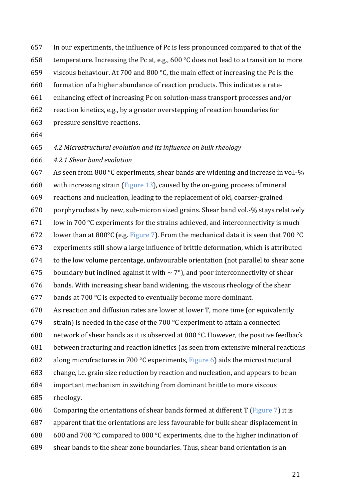- 657 In our experiments, the influence of Pc is less pronounced compared to that of the
- 658 temperature. Increasing the Pc at, e.g., 600 °C does not lead to a transition to more
- 659 viscous behaviour. At 700 and 800  $\degree$ C, the main effect of increasing the Pc is the

660 formation of a higher abundance of reaction products. This indicates a rate-

- 661 enhancing effect of increasing Pc on solution-mass transport processes and/or
- 662 reaction kinetics, e.g., by a greater overstepping of reaction boundaries for
- 663 pressure sensitive reactions.
- 664

665 *4.2 Microstructural evolution and its influence on bulk rheology*

666 *4.2.1 Shear band evolution*

668 with increasing strain (Figure 13), caused by the on-going process of mineral 669 reactions and nucleation, leading to the replacement of old, coarser-grained  $670$  porphyroclasts by new, sub-micron sized grains. Shear band vol.-% stays relatively 671 low in 700  $\degree$ C experiments for the strains achieved, and interconnectivity is much 672 lower than at 800 $^{\circ}$ C (e.g. Figure 7). From the mechanical data it is seen that 700  $^{\circ}$ C 673 experiments still show a large influence of brittle deformation, which is attributed  $674$  to the low volume percentage, unfavourable orientation (not parallel to shear zone

667 As seen from 800 °C experiments, shear bands are widening and increase in vol.-%

675 boundary but inclined against it with  $\sim$  7°), and poor interconnectivity of shear

 $676$  bands. With increasing shear band widening, the viscous rheology of the shear

677 bands at 700  $\degree$ C is expected to eventually become more dominant.

678 As reaction and diffusion rates are lower at lower T, more time (or equivalently

679 strain) is needed in the case of the 700  $\degree$ C experiment to attain a connected

680 network of shear bands as it is observed at 800 °C. However, the positive feedback

681 between fracturing and reaction kinetics (as seen from extensive mineral reactions

682 along microfractures in 700  $\degree$ C experiments, Figure 6) aids the microstructural

683 change, i.e. grain size reduction by reaction and nucleation, and appears to be an

684 important mechanism in switching from dominant brittle to more viscous 685 rheology.

686 Comparing the orientations of shear bands formed at different  $T$  (Figure  $7$ ) it is

687 apparent that the orientations are less favourable for bulk shear displacement in

688 600 and 700 °C compared to 800 °C experiments, due to the higher inclination of

689 shear bands to the shear zone boundaries. Thus, shear band orientation is an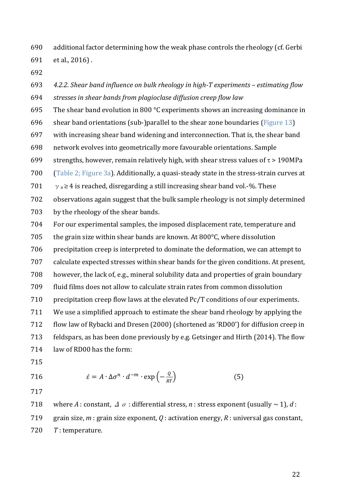690 additional factor determining how the weak phase controls the rheology (cf. Gerbi 691 et al., 2016).

692

693 4.2.2. Shear band influence on bulk rheology in high-T experiments – estimating flow 694 *stresses in shear bands from plagioclase diffusion creep flow law* 

695 The shear band evolution in 800  $\degree$ C experiments shows an increasing dominance in

- 696 shear band orientations (sub-)parallel to the shear zone boundaries (Figure 13)
- 697 with increasing shear band widening and interconnection. That is, the shear band
- 698 network evolves into geometrically more favourable orientations. Sample
- 699 strengths, however, remain relatively high, with shear stress values of  $\tau > 190MPa$
- 700 (Table 2; Figure  $3a$ ). Additionally, a quasi-steady state in the stress-strain curves at
- 701  $\gamma_a \ge 4$  is reached, disregarding a still increasing shear band vol.-%. These
- 702 observations again suggest that the bulk sample rheology is not simply determined
- 703 by the rheology of the shear bands.
- 704 For our experimental samples, the imposed displacement rate, temperature and
- 705 the grain size within shear bands are known. At  $800^{\circ}$ C, where dissolution
- 706 precipitation creep is interpreted to dominate the deformation, we can attempt to
- 707 calculate expected stresses within shear bands for the given conditions. At present,
- 708 however, the lack of, e.g., mineral solubility data and properties of grain boundary
- 709 fluid films does not allow to calculate strain rates from common dissolution
- $710$  precipitation creep flow laws at the elevated Pc/T conditions of our experiments.
- 711 We use a simplified approach to estimate the shear band rheology by applying the 712 flow law of Rybacki and Dresen (2000) (shortened as 'RD00') for diffusion creep in 713 feldspars, as has been done previously by e.g. Getsinger and Hirth (2014). The flow

714 law of RD00 has the form:

715

716 
$$
\dot{\varepsilon} = A \cdot \Delta \sigma^n \cdot d^{-m} \cdot \exp\left(-\frac{Q}{RT}\right)
$$
 (5)

717

718 where *A* : constant,  $\Delta \sigma$  : differential stress, *n* : stress exponent (usually  $\sim 1$ ), *d* : 719 grain size,  $m$  : grain size exponent,  $Q$  : activation energy,  $R$  : universal gas constant,

720 *T* : temperature.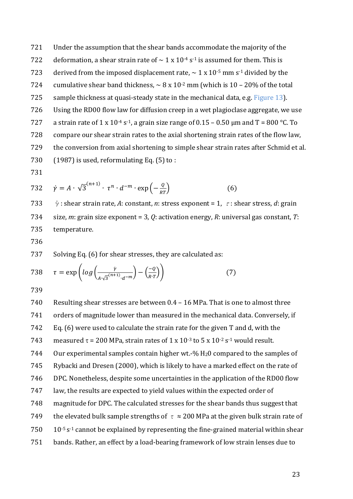721 Under the assumption that the shear bands accommodate the majority of the 722 deformation, a shear strain rate of  $\sim 1 \times 10^{-4}$  s<sup>-1</sup> is assumed for them. This is 723 derived from the imposed displacement rate,  $\sim 1 \times 10^{-5}$  mm s<sup>-1</sup> divided by the 724 cumulative shear band thickness,  $\sim 8 \times 10^{-2}$  mm (which is 10 – 20% of the total 725 sample thickness at quasi-steady state in the mechanical data, e.g. Figure 13). 726 Using the RD00 flow law for diffusion creep in a wet plagioclase aggregate, we use 727 a strain rate of  $1 \times 10^{-4}$  s<sup>-1</sup>, a grain size range of 0.15 – 0.50 µm and T = 800 °C. To 728 compare our shear strain rates to the axial shortening strain rates of the flow law, 729 the conversion from axial shortening to simple shear strain rates after Schmid et al. 730  $(1987)$  is used, reformulating Eq. (5) to :

731

732 
$$
\dot{\gamma} = A \cdot \sqrt{3}^{(n+1)} \cdot \tau^n \cdot d^{-m} \cdot \exp\left(-\frac{q}{RT}\right)
$$
 (6)

733  $\dot{\gamma}$  : shear strain rate, A: constant, n: stress exponent = 1,  $\tau$ : shear stress, d: grain 734 size, *m*: grain size exponent = 3, *Q*: activation energy, *R*: universal gas constant, *T*: 735 temperature.

736

737 Solving Eq. (6) for shear stresses, they are calculated as:

738 
$$
\tau = \exp\left(log\left(\frac{\dot{r}}{A\sqrt{3}^{(n+1)}\cdot d^{-m}}\right) - \left(\frac{-Q}{R\cdot T}\right)\right)
$$
(7)

739

740 Resulting shear stresses are between  $0.4 - 16$  MPa. That is one to almost three 741 orders of magnitude lower than measured in the mechanical data. Conversely, if 742 Eq.  $(6)$  were used to calculate the strain rate for the given T and d, with the 743 measured  $\tau$  = 200 MPa, strain rates of 1 x 10<sup>-3</sup> to 5 x 10<sup>-2</sup> s<sup>-1</sup> would result. 744 Our experimental samples contain higher wt.-%  $H_20$  compared to the samples of 745 Rybacki and Dresen (2000), which is likely to have a marked effect on the rate of 746 DPC. Nonetheless, despite some uncertainties in the application of the RD00 flow 747 law, the results are expected to yield values within the expected order of 748 magnitude for DPC. The calculated stresses for the shear bands thus suggest that 749 the elevated bulk sample strengths of  $\tau \approx 200$  MPa at the given bulk strain rate of  $10^{-5}$  s<sup>-1</sup> cannot be explained by representing the fine-grained material within shear 751 bands. Rather, an effect by a load-bearing framework of low strain lenses due to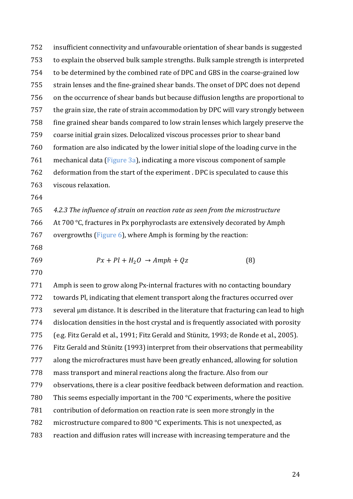752 insufficient connectivity and unfavourable orientation of shear bands is suggested 753 to explain the observed bulk sample strengths. Bulk sample strength is interpreted 754 to be determined by the combined rate of DPC and GBS in the coarse-grained low 755 strain lenses and the fine-grained shear bands. The onset of DPC does not depend 756 on the occurrence of shear bands but because diffusion lengths are proportional to 757 the grain size, the rate of strain accommodation by DPC will vary strongly between 758 fine grained shear bands compared to low strain lenses which largely preserve the 759 coarse initial grain sizes. Delocalized viscous processes prior to shear band 760 formation are also indicated by the lower initial slope of the loading curve in the 761 mechanical data (Figure  $3a$ ), indicating a more viscous component of sample 762 deformation from the start of the experiment . DPC is speculated to cause this 763 viscous relaxation.

764

765 4.2.3 The influence of strain on reaction rate as seen from the microstructure 766 At  $700 °C$ , fractures in Px porphyroclasts are extensively decorated by Amph 767 overgrowths  $(Figure 6)$ , where Amph is forming by the reaction:

- 768
- 

769  $Px + Pl + H_2O \rightarrow Amph + Qz$  (8)

770

771 Amph is seen to grow along Px-internal fractures with no contacting boundary 772 towards Pl, indicating that element transport along the fractures occurred over  $773$  several  $\mu$ m distance. It is described in the literature that fracturing can lead to high 774 dislocation densities in the host crystal and is frequently associated with porosity 775 (e.g. Fitz Gerald et al., 1991; Fitz Gerald and Stünitz, 1993; de Ronde et al., 2005). 776 Fitz Gerald and Stünitz (1993) interpret from their observations that permeability 777 along the microfractures must have been greatly enhanced, allowing for solution 778 mass transport and mineral reactions along the fracture. Also from our 779 observations, there is a clear positive feedback between deformation and reaction. 780 This seems especially important in the 700  $\degree$ C experiments, where the positive 781 contribution of deformation on reaction rate is seen more strongly in the 782 microstructure compared to 800  $\degree$ C experiments. This is not unexpected, as 783 reaction and diffusion rates will increase with increasing temperature and the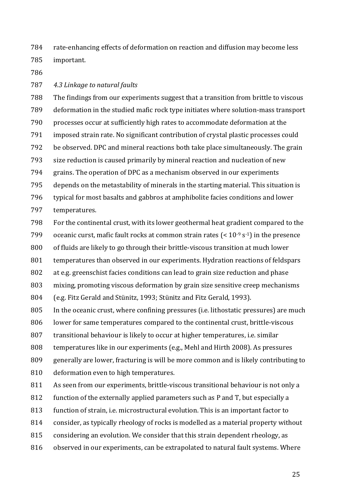784 rate-enhancing effects of deformation on reaction and diffusion may become less 785 important. 

786

787 4.3 Linkage to natural faults

788 The findings from our experiments suggest that a transition from brittle to viscous 789 deformation in the studied mafic rock type initiates where solution-mass transport 790 processes occur at sufficiently high rates to accommodate deformation at the 791 imposed strain rate. No significant contribution of crystal plastic processes could 792 be observed. DPC and mineral reactions both take place simultaneously. The grain 793 size reduction is caused primarily by mineral reaction and nucleation of new 794 grains. The operation of DPC as a mechanism observed in our experiments 795 depends on the metastability of minerals in the starting material. This situation is 796 typical for most basalts and gabbros at amphibolite facies conditions and lower

- 797 temperatures.
- 798 For the continental crust, with its lower geothermal heat gradient compared to the

799 oceanic curst, mafic fault rocks at common strain rates  $(< 10^{-9} s^{-1})$  in the presence

800 of fluids are likely to go through their brittle-viscous transition at much lower

801 temperatures than observed in our experiments. Hydration reactions of feldspars

802 at e.g. greenschist facies conditions can lead to grain size reduction and phase

803 mixing, promoting viscous deformation by grain size sensitive creep mechanisms

804 (e.g. Fitz Gerald and Stünitz, 1993; Stünitz and Fitz Gerald, 1993).

805 In the oceanic crust, where confining pressures (i.e. lithostatic pressures) are much

806 lower for same temperatures compared to the continental crust, brittle-viscous

807 transitional behaviour is likely to occur at higher temperatures, i.e. similar

808 temperatures like in our experiments (e.g., Mehl and Hirth 2008). As pressures

809 generally are lower, fracturing is will be more common and is likely contributing to

810 deformation even to high temperatures.

811 As seen from our experiments, brittle-viscous transitional behaviour is not only a

812 function of the externally applied parameters such as P and T, but especially a

- 813 function of strain, i.e. microstructural evolution. This is an important factor to
- 814 consider, as typically rheology of rocks is modelled as a material property without
- 815 considering an evolution. We consider that this strain dependent rheology, as
- 816 observed in our experiments, can be extrapolated to natural fault systems. Where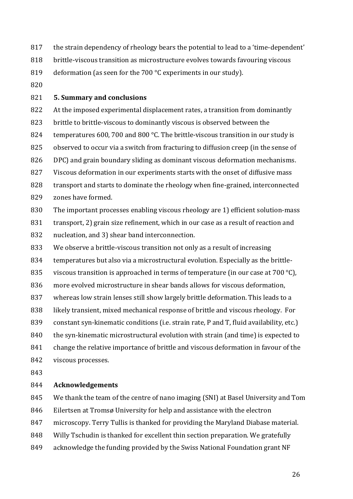- 817 the strain dependency of rheology bears the potential to lead to a 'time-dependent'
- 818 brittle-viscous transition as microstructure evolves towards favouring viscous
- 819 deformation (as seen for the  $700 °C$  experiments in our study).
- 820

#### 821 **5. Summary and conclusions**

822 At the imposed experimental displacement rates, a transition from dominantly 823 brittle to brittle-viscous to dominantly viscous is observed between the 824 temperatures  $600$ ,  $700$  and  $800$  °C. The brittle-viscous transition in our study is 825 observed to occur via a switch from fracturing to diffusion creep (in the sense of 826 DPC) and grain boundary sliding as dominant viscous deformation mechanisms. 827 Viscous deformation in our experiments starts with the onset of diffusive mass

- 828 transport and starts to dominate the rheology when fine-grained, interconnected 829 zones have formed.
- 830 The important processes enabling viscous rheology are 1) efficient solution-mass
- 831 transport, 2) grain size refinement, which in our case as a result of reaction and
- 832 nucleation, and 3) shear band interconnection.
- 833 We observe a brittle-viscous transition not only as a result of increasing
- 834 temperatures but also via a microstructural evolution. Especially as the brittle-
- 835 viscous transition is approached in terms of temperature (in our case at  $700\text{ °C}$ ),
- 836 more evolved microstructure in shear bands allows for viscous deformation,
- 837 whereas low strain lenses still show largely brittle deformation. This leads to a
- 838 likely transient, mixed mechanical response of brittle and viscous rheology. For
- 839 constant syn-kinematic conditions (i.e. strain rate,  $P$  and  $T$ , fluid availability, etc.)
- 840 the syn-kinematic microstructural evolution with strain (and time) is expected to
- 841 change the relative importance of brittle and viscous deformation in favour of the
- 842 viscous processes.
- 843

#### 844 **Acknowledgements**

- 845 We thank the team of the centre of nano imaging (SNI) at Basel University and Tom
- 846 Eilertsen at Tromsø University for help and assistance with the electron
- 847 microscopy. Terry Tullis is thanked for providing the Maryland Diabase material.
- 848 Willy Tschudin is thanked for excellent thin section preparation. We gratefully
- 849 acknowledge the funding provided by the Swiss National Foundation grant NF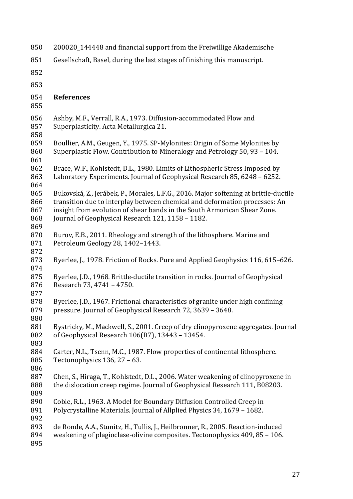| 850                             | 200020_144448 and financial support from the Freiwillige Akademische                                                                                                                                                                                                                                |
|---------------------------------|-----------------------------------------------------------------------------------------------------------------------------------------------------------------------------------------------------------------------------------------------------------------------------------------------------|
| 851                             | Gesellschaft, Basel, during the last stages of finishing this manuscript.                                                                                                                                                                                                                           |
| 852                             |                                                                                                                                                                                                                                                                                                     |
| 853                             |                                                                                                                                                                                                                                                                                                     |
| 854<br>855                      | <b>References</b>                                                                                                                                                                                                                                                                                   |
| 856<br>857<br>858               | Ashby, M.F., Verrall, R.A., 1973. Diffusion-accommodated Flow and<br>Superplasticity. Acta Metallurgica 21.                                                                                                                                                                                         |
| 859<br>860<br>861               | Boullier, A.M., Geugen, Y., 1975. SP-Mylonites: Origin of Some Mylonites by<br>Superplastic Flow. Contribution to Mineralogy and Petrology 50, 93 - 104.                                                                                                                                            |
| 862<br>863<br>864               | Brace, W.F., Kohlstedt, D.L., 1980. Limits of Lithospheric Stress Imposed by<br>Laboratory Experiments. Journal of Geophysical Research 85, 6248 - 6252.                                                                                                                                            |
| 865<br>866<br>867<br>868<br>869 | Bukovská, Z., Jerábek, P., Morales, L.F.G., 2016. Major softening at brittle-ductile<br>transition due to interplay between chemical and deformation processes: An<br>insight from evolution of shear bands in the South Armorican Shear Zone.<br>Journal of Geophysical Research 121, 1158 - 1182. |
| 870<br>871<br>872               | Burov, E.B., 2011. Rheology and strength of the lithosphere. Marine and<br>Petroleum Geology 28, 1402-1443.                                                                                                                                                                                         |
| 873<br>874                      | Byerlee, J., 1978. Friction of Rocks. Pure and Applied Geophysics 116, 615-626.                                                                                                                                                                                                                     |
| 875<br>876<br>877               | Byerlee, J.D., 1968. Brittle-ductile transition in rocks. Journal of Geophysical<br>Research 73, 4741 - 4750.                                                                                                                                                                                       |
| 878<br>879<br>880               | Byerlee, J.D., 1967. Frictional characteristics of granite under high confining<br>pressure. Journal of Geophysical Research 72, 3639 - 3648.                                                                                                                                                       |
| 881<br>882<br>883               | Bystricky, M., Mackwell, S., 2001. Creep of dry clinopyroxene aggregates. Journal<br>of Geophysical Research 106(B7), 13443 - 13454.                                                                                                                                                                |
| 884<br>885<br>886               | Carter, N.L., Tsenn, M.C., 1987. Flow properties of continental lithosphere.<br>Tectonophysics 136, 27 - 63.                                                                                                                                                                                        |
| 887<br>888<br>889               | Chen, S., Hiraga, T., Kohlstedt, D.L., 2006. Water weakening of clinopyroxene in<br>the dislocation creep regime. Journal of Geophysical Research 111, B08203.                                                                                                                                      |
| 890<br>891<br>892               | Coble, R.L., 1963. A Model for Boundary Diffusion Controlled Creep in<br>Polycrystalline Materials. Journal of Allplied Physics 34, 1679 - 1682.                                                                                                                                                    |
| 893<br>894<br>895               | de Ronde, A.A., Stunitz, H., Tullis, J., Heilbronner, R., 2005. Reaction-induced<br>weakening of plagioclase-olivine composites. Tectonophysics 409, 85 - 106.                                                                                                                                      |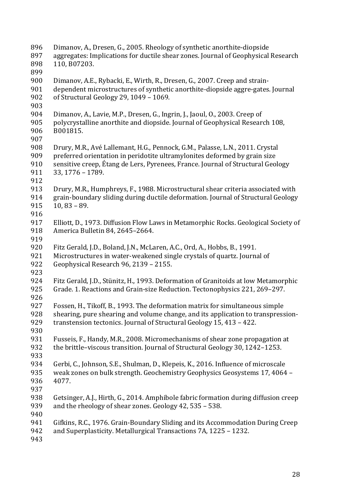| 896        | Dimanov, A., Dresen, G., 2005. Rheology of synthetic anorthite-diopside                                                                            |
|------------|----------------------------------------------------------------------------------------------------------------------------------------------------|
| 897        | aggregates: Implications for ductile shear zones. Journal of Geophysical Research                                                                  |
| 898        | 110, B07203.                                                                                                                                       |
| 899<br>900 | Dimanov, A.E., Rybacki, E., Wirth, R., Dresen, G., 2007. Creep and strain-                                                                         |
| 901        | dependent microstructures of synthetic anorthite-diopside aggre-gates. Journal                                                                     |
| 902        | of Structural Geology 29, 1049 - 1069.                                                                                                             |
| 903        |                                                                                                                                                    |
| 904        | Dimanov, A., Lavie, M.P., Dresen, G., Ingrin, J., Jaoul, O., 2003. Creep of                                                                        |
| 905        | polycrystalline anorthite and diopside. Journal of Geophysical Research 108,                                                                       |
| 906        | B001815.                                                                                                                                           |
| 907        |                                                                                                                                                    |
| 908        | Drury, M.R., Avé Lallemant, H.G., Pennock, G.M., Palasse, L.N., 2011. Crystal                                                                      |
| 909        | preferred orientation in peridotite ultramylonites deformed by grain size                                                                          |
| 910        | sensitive creep, Étang de Lers, Pyrenees, France. Journal of Structural Geology                                                                    |
| 911        | 33, 1776 - 1789.                                                                                                                                   |
| 912        |                                                                                                                                                    |
| 913        | Drury, M.R., Humphreys, F., 1988. Microstructural shear criteria associated with                                                                   |
| 914        | grain-boundary sliding during ductile deformation. Journal of Structural Geology                                                                   |
| 915        | $10, 83 - 89.$                                                                                                                                     |
| 916        |                                                                                                                                                    |
| 917        | Elliott, D., 1973. Diffusion Flow Laws in Metamorphic Rocks. Geological Society of                                                                 |
| 918        | America Bulletin 84, 2645-2664.                                                                                                                    |
| 919        |                                                                                                                                                    |
| 920        | Fitz Gerald, J.D., Boland, J.N., McLaren, A.C., Ord, A., Hobbs, B., 1991.                                                                          |
| 921        | Microstructures in water-weakened single crystals of quartz. Journal of                                                                            |
| 922        | Geophysical Research 96, 2139 - 2155.                                                                                                              |
| 923        |                                                                                                                                                    |
| 924        | Fitz Gerald, J.D., Stünitz, H., 1993. Deformation of Granitoids at low Metamorphic                                                                 |
| 925        | Grade. 1. Reactions and Grain-size Reduction. Tectonophysics 221, 269-297.                                                                         |
| 926        |                                                                                                                                                    |
| 927        | Fossen, H., Tikoff, B., 1993. The deformation matrix for simultaneous simple                                                                       |
| 928        | shearing, pure shearing and volume change, and its application to transpression-                                                                   |
| 929        | transtension tectonics. Journal of Structural Geology 15, 413 - 422.                                                                               |
| 930        |                                                                                                                                                    |
| 931        | Fusseis, F., Handy, M.R., 2008. Micromechanisms of shear zone propagation at                                                                       |
| 932        | the brittle-viscous transition. Journal of Structural Geology 30, 1242-1253.                                                                       |
| 933        |                                                                                                                                                    |
| 934        | Gerbi, C., Johnson, S.E., Shulman, D., Klepeis, K., 2016. Influence of microscale                                                                  |
| 935        | weak zones on bulk strength. Geochemistry Geophysics Geosystems 17, 4064 -                                                                         |
| 936        | 4077.                                                                                                                                              |
| 937        |                                                                                                                                                    |
| 938        | Getsinger, A.J., Hirth, G., 2014. Amphibole fabric formation during diffusion creep                                                                |
| 939        | and the rheology of shear zones. Geology 42, 535 - 538.                                                                                            |
| 940        |                                                                                                                                                    |
| 941<br>942 | Gifkins, R.C., 1976. Grain-Boundary Sliding and its Accommodation During Creep<br>and Superplasticity. Metallurgical Transactions 7A, 1225 - 1232. |
|            |                                                                                                                                                    |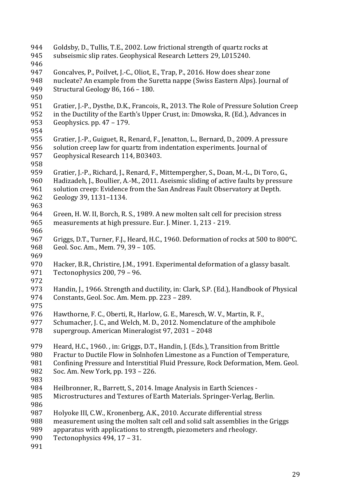944 Goldsby, D., Tullis, T.E., 2002. Low frictional strength of quartz rocks at 945 subseismic slip rates. Geophysical Research Letters 29, L015240. 946 947 Goncalves, P., Poilvet, J.-C., Oliot, E., Trap, P., 2016. How does shear zone 948 nucleate? An example from the Suretta nappe (Swiss Eastern Alps). Journal of 949 Structural Geology 86,  $166 - 180$ . 950 951 Gratier, J.-P., Dysthe, D.K., Francois, R., 2013. The Role of Pressure Solution Creep 952 in the Ductility of the Earth's Upper Crust, in: Dmowska, R. (Ed.), Advances in 953 Geophysics. pp.  $47 - 179$ . 954 955 Gratier, J.-P., Guiguet, R., Renard, F., Jenatton, L., Bernard, D., 2009. A pressure 956 solution creep law for quartz from indentation experiments. Journal of 957 Geophysical Research 114, B03403. 958 959 Gratier, J.-P., Richard, J., Renard, F., Mittempergher, S., Doan, M.-L., Di Toro, G., 960 Hadizadeh, J., Boullier, A.-M., 2011. Aseismic sliding of active faults by pressure 961 solution creep: Evidence from the San Andreas Fault Observatory at Depth. 962 Geology 39, 1131-1134. 963 964 Green, H. W. II, Borch, R. S., 1989. A new molten salt cell for precision stress 965 measurements at high pressure. Eur. J. Miner. 1, 213 - 219. 966 967 Griggs, D.T., Turner, F.J., Heard, H.C., 1960. Deformation of rocks at 500 to 800°C. 968 Geol. Soc. Am., Mem. 79, 39 - 105. 969 970 Hacker, B.R., Christire, J.M., 1991. Experimental deformation of a glassy basalt. 971 Tectonophysics 200, 79 - 96. 972 973 Handin, L. 1966. Strength and ductility, in: Clark, S.P. (Ed.), Handbook of Physical 974 Constants, Geol. Soc. Am. Mem. pp. 223 - 289. 975 976 Hawthorne, F. C., Oberti, R., Harlow, G. E., Maresch, W. V., Martin, R. F., 977 Schumacher, J. C., and Welch, M. D., 2012. Nomenclature of the amphibole 978 supergroup. American Mineralogist 97, 2031 - 2048 979 Heard, H.C., 1960., in: Griggs, D.T., Handin, J. (Eds.), Transition from Brittle 980 Fractur to Ductile Flow in Solnhofen Limestone as a Function of Temperature, 981 Confining Pressure and Interstitial Fluid Pressure, Rock Deformation, Mem. Geol. 982 Soc. Am. New York, pp. 193 - 226. 983 984 Heilbronner, R., Barrett, S., 2014. Image Analysis in Earth Sciences -985 Microstructures and Textures of Earth Materials. Springer-Verlag, Berlin. 986 987 Holyoke III, C.W., Kronenberg, A.K., 2010. Accurate differential stress 988 measurement using the molten salt cell and solid salt assemblies in the Griggs 989 apparatus with applications to strength, piezometers and rheology. 990 Tectonophysics 494, 17 - 31. 991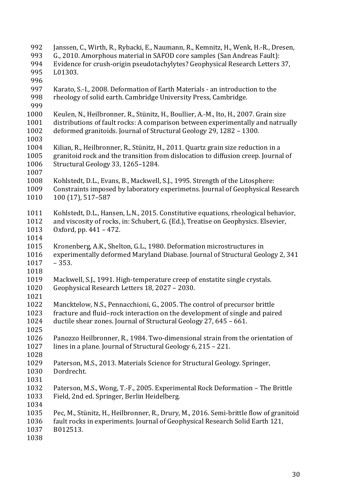992 Janssen, C., Wirth, R., Rybacki, E., Naumann, R., Kemnitz, H., Wenk, H.-R., Dresen, 993 G., 2010. Amorphous material in SAFOD core samples (San Andreas Fault): 994 Evidence for crush-origin pseudotachylytes? Geophysical Research Letters 37, 995 L01303. 996 997 Karato, S.-I., 2008. Deformation of Earth Materials - an introduction to the 998 rheology of solid earth. Cambridge University Press, Cambridge. 999 1000 Keulen, N., Heilbronner, R., Stünitz, H., Boullier, A.-M., Ito, H., 2007. Grain size 1001 distributions of fault rocks: A comparison between experimentally and natrually 1002 deformed granitoids. Journal of Structural Geology 29, 1282 - 1300. 1003 1004 Kilian, R., Heilbronner, R., Stünitz, H., 2011. Quartz grain size reduction in a 1005 granitoid rock and the transition from dislocation to diffusion creep. Journal of 1006 Structural Geology 33, 1265-1284. 1007 1008 Kohlstedt, D.L., Evans, B., Mackwell, S.J., 1995. Strength of the Litosphere: 1009 Constraints imposed by laboratory experimetns. Journal of Geophysical Research 1010 100 (17), 517–587 1011 Kohlstedt, D.L., Hansen, L.N., 2015. Constitutive equations, rheological behavior, 1012 and viscosity of rocks, in: Schubert, G. (Ed.), Treatise on Geophysics, Elsevier, 1013 Oxford, pp.  $441 - 472$ . 1014 1015 Kronenberg, A.K., Shelton, G.L., 1980. Deformation microstructures in 1016 experimentally deformed Maryland Diabase. Journal of Structural Geology 2, 341 1017 – 353. 1018 1019 Mackwell, S.J., 1991. High-temperature creep of enstatite single crystals. 1020 Geophysical Research Letters 18, 2027 - 2030. 1021 1022 Mancktelow, N.S., Pennacchioni, G., 2005. The control of precursor brittle 1023 fracture and fluid–rock interaction on the development of single and paired 1024 ductile shear zones. Journal of Structural Geology 27, 645 - 661. 1025 1026 Panozzo Heilbronner, R., 1984. Two-dimensional strain from the orientation of 1027 lines in a plane. Journal of Structural Geology  $6, 215 - 221$ . 1028 1029 Paterson, M.S., 2013. Materials Science for Structural Geology. Springer, 1030 Dordrecht. 1031 1032 Paterson, M.S., Wong, T.-F., 2005. Experimental Rock Deformation – The Brittle 1033 Field, 2nd ed. Springer, Berlin Heidelberg. 1034 1035 Pec, M., Stünitz, H., Heilbronner, R., Drury, M., 2016. Semi-brittle flow of granitoid 1036 fault rocks in experiments. Journal of Geophysical Research Solid Earth 121, 1037 B012513. 1038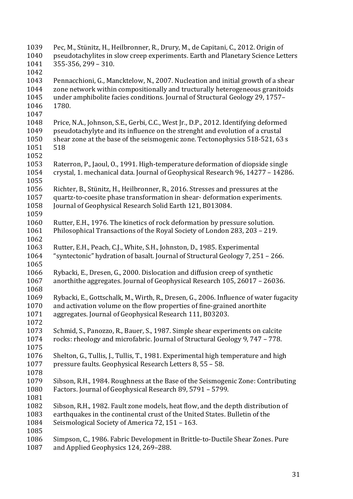1039 Pec, M., Stünitz, H., Heilbronner, R., Drury, M., de Capitani, C., 2012. Origin of 1040 pseudotachylites in slow creep experiments. Earth and Planetary Science Letters  $1041$  355-356, 299 – 310. 1042 1043 Pennacchioni, G., Mancktelow, N., 2007. Nucleation and initial growth of a shear 1044 zone network within compositionally and tructurally heterogeneous granitoids 1045 under amphibolite facies conditions. Journal of Structural Geology 29, 1757– 1046 1780. 1047 1048 Price, N.A., Johnson, S.E., Gerbi, C.C., West Jr., D.P., 2012. Identifying deformed 1049 pseudotachylyte and its influence on the strenght and evolution of a crustal 1050 shear zone at the base of the seismogenic zone. Tectonophysics 518-521, 63 s 1051 518 1052 1053 Raterron, P., Jaoul, O., 1991. High-temperature deformation of diopside single 1054 crystal, 1. mechanical data. Journal of Geophysical Research 96, 14277 - 14286. 1055 1056 Richter, B., Stünitz, H., Heilbronner, R., 2016. Stresses and pressures at the 1057 quartz-to-coesite phase transformation in shear- deformation experiments. 1058 Journal of Geophysical Research Solid Earth 121, B013084. 1059 1060 Rutter, E.H., 1976. The kinetics of rock deformation by pressure solution. 1061 Philosophical Transactions of the Royal Society of London 283, 203 - 219. 1062 1063 Rutter, E.H., Peach, C.J., White, S.H., Johnston, D., 1985. Experimental 1064 "syntectonic" hydration of basalt. Journal of Structural Geology 7, 251 – 266. 1065 1066 Rybacki, E., Dresen, G., 2000. Dislocation and diffusion creep of synthetic 1067 anorthithe aggregates. Journal of Geophysical Research 105, 26017 - 26036. 1068 1069 Rybacki, E., Gottschalk, M., Wirth, R., Dresen, G., 2006. Influence of water fugacity 1070 and activation volume on the flow properties of fine-grained anorthite 1071 aggregates. Journal of Geophysical Research 111, B03203. 1072 1073 Schmid, S., Panozzo, R., Bauer, S., 1987. Simple shear experiments on calcite 1074 rocks: rheology and microfabric. Journal of Structural Geology 9, 747 - 778. 1075 1076 Shelton, G., Tullis, J., Tullis, T., 1981. Experimental high temperature and high 1077 pressure faults. Geophysical Research Letters 8, 55 - 58. 1078 1079 Sibson, R.H., 1984. Roughness at the Base of the Seismogenic Zone: Contributing 1080 Factors. Journal of Geophysical Research 89, 5791 – 5799. 1081 1082 Sibson, R.H., 1982. Fault zone models, heat flow, and the depth distribution of 1083 earthquakes in the continental crust of the United States. Bulletin of the 1084 Seismological Society of America 72, 151 - 163. 1085 1086 Simpson, C., 1986. Fabric Development in Brittle-to-Ductile Shear Zones. Pure 1087 and Applied Geophysics 124, 269-288.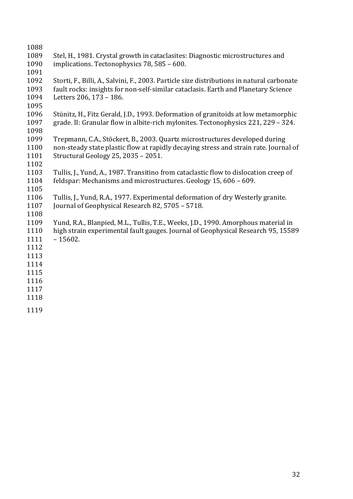- 1088 1089 Stel, H., 1981. Crystal growth in cataclasites: Diagnostic microstructures and 1090 implications. Tectonophysics 78, 585 - 600. 1091 1092 Storti, F., Billi, A., Salvini, F., 2003. Particle size distributions in natural carbonate 1093 fault rocks: insights for non-self-similar cataclasis. Earth and Planetary Science 1094 Letters 206, 173 - 186. 1095 1096 Stünitz, H., Fitz Gerald, J.D., 1993. Deformation of granitoids at low metamorphic 1097 grade. II: Granular flow in albite-rich mylonites. Tectonophysics 221, 229 – 324. 1098
- 1099 Trepmann, C.A., Stöckert, B., 2003. Quartz microstructures developed during 1100 non-steady state plastic flow at rapidly decaying stress and strain rate. Journal of 1101 Structural Geology 25, 2035 - 2051.
- 1102 1103 Tullis, J., Yund, A., 1987. Transitino from cataclastic flow to dislocation creep of 1104 feldspar: Mechanisms and microstructures. Geology 15, 606 – 609.
- 1105

- 1106 Tullis, J., Yund, R.A., 1977. Experimental deformation of dry Westerly granite. 1107 Iournal of Geophysical Research 82, 5705 – 5718.
- 1109 Yund, R.A., Blanpied, M.L., Tullis, T.E., Weeks, J.D., 1990. Amorphous material in 1110 high strain experimental fault gauges. Journal of Geophysical Research 95, 15589 1111 – 15602.
- 1112
- 1113
- 1114
- 1115
- 1116 1117
- 1118
- 
- 1119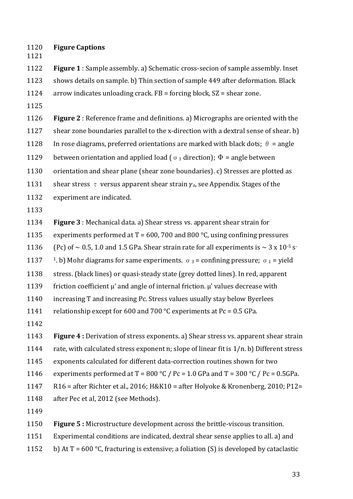1120 **Figure Captions**

1122 **Figure 1**: Sample assembly. a) Schematic cross-secion of sample assembly. Inset 1123 shows details on sample. b) Thin section of sample 449 after deformation. Black 1124 arrow indicates unloading crack.  $FB =$  forcing block,  $SZ =$  shear zone.

1125

1121

**1126 Figure 2**: Reference frame and definitions. a) Micrographs are oriented with the 1127 shear zone boundaries parallel to the x-direction with a dextral sense of shear.  $b$ )

1128 In rose diagrams, preferred orientations are marked with black dots;  $\theta$  = angle

1129 between orientation and applied load ( $\sigma_1$  direction);  $\Phi$  = angle between

1130 orientation and shear plane (shear zone boundaries). c) Stresses are plotted as

1131 shear stress  $\tau$  versus apparent shear strain  $\gamma_a$ , see Appendix. Stages of the

- 1132 experiment are indicated.
- 1133

**1134 Figure 3**: Mechanical data. a) Shear stress vs. apparent shear strain for 1135 experiments performed at  $T = 600$ , 700 and 800 °C, using confining pressures

1136 (Pc) of  $\sim$  0.5, 1.0 and 1.5 GPa. Shear strain rate for all experiments is  $\sim$  3 x 10<sup>-5</sup> s<sup>-</sup>

1137 <sup>1</sup>. b) Mohr diagrams for same experiments.  $\sigma_3$  = confining pressure;  $\sigma_1$  = yield

1138 stress. (black lines) or quasi-steady state (grey dotted lines). In red, apparent

1139 friction coefficient  $\mu'$  and angle of internal friction.  $\mu'$  values decrease with

1140 increasing T and increasing Pc. Stress values usually stay below Byerlees

1141 relationship except for 600 and 700  $^{\circ}$ C experiments at Pc = 0.5 GPa.

1142

1143 **Figure 4**: Derivation of stress exponents. a) Shear stress vs. apparent shear strain

1144 rate, with calculated stress exponent n; slope of linear fit is  $1/n$ . b) Different stress

1145 exponents calculated for different data-correction routines shown for two

1146 experiments performed at T = 800 °C / Pc = 1.0 GPa and T = 300 °C / Pc = 0.5GPa.

1147 R16 = after Richter et al., 2016; H&K10 = after Holyoke & Kronenberg, 2010; P12=

1148 after Pec et al, 2012 (see Methods).

1149

**1150 Figure 5:** Microstructure development across the brittle-viscous transition.

1151 Experimental conditions are indicated, dextral shear sense applies to all. a) and

1152 b) At  $T = 600 °C$ , fracturing is extensive; a foliation (S) is developed by cataclastic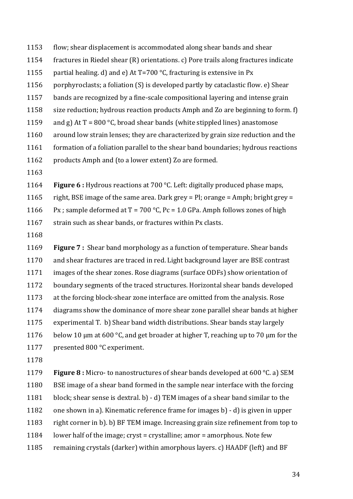- 1153 flow; shear displacement is accommodated along shear bands and shear
- 1154 fractures in Riedel shear  $(R)$  orientations. c) Pore trails along fractures indicate
- 1155 partial healing. d) and e) At  $T=700$  °C, fracturing is extensive in Px
- 1156 porphyroclasts; a foliation  $(S)$  is developed partly by cataclastic flow. e) Shear
- 1157 bands are recognized by a fine-scale compositional layering and intense grain
- 1158 size reduction; hydrous reaction products Amph and Zo are beginning to form. f)
- 1159 and g) At  $T = 800 °C$ , broad shear bands (white stippled lines) anastomose
- 1160 around low strain lenses; they are characterized by grain size reduction and the
- 1161 formation of a foliation parallel to the shear band boundaries; hydrous reactions
- 1162 products Amph and (to a lower extent) Zo are formed.
- 1163
- 1164 **Figure 6**: Hydrous reactions at 700 °C. Left: digitally produced phase maps,
- 1165 right, BSE image of the same area. Dark grey =  $Pl$ ; orange = Amph; bright grey =
- 1166 Px ; sample deformed at  $T = 700 °C$ , Pc = 1.0 GPa. Amph follows zones of high
- 1167 strain such as shear bands, or fractures within Px clasts.
- 1168

**1169 Figure 7**: Shear band morphology as a function of temperature. Shear bands 1170 and shear fractures are traced in red. Light background layer are BSE contrast 1171 images of the shear zones. Rose diagrams (surface ODFs) show orientation of 1172 boundary segments of the traced structures. Horizontal shear bands developed 1173 at the forcing block-shear zone interface are omitted from the analysis. Rose 1174 diagrams show the dominance of more shear zone parallel shear bands at higher 1175 experimental T. b) Shear band width distributions. Shear bands stay largely 1176 below 10 um at 600 °C, and get broader at higher T, reaching up to 70 um for the 1177 presented 800 °C experiment.

1178

1179 **Figure 8** : Micro- to nanostructures of shear bands developed at 600 °C. a) SEM 1180 BSE image of a shear band formed in the sample near interface with the forcing 1181 block; shear sense is dextral. b) - d) TEM images of a shear band similar to the 1182 one shown in a). Kinematic reference frame for images b) - d) is given in upper 1183 right corner in b). b) BF TEM image. Increasing grain size refinement from top to 1184 lower half of the image; cryst = crystalline; amor = amorphous. Note few 1185 remaining crystals (darker) within amorphous layers. c) HAADF (left) and BF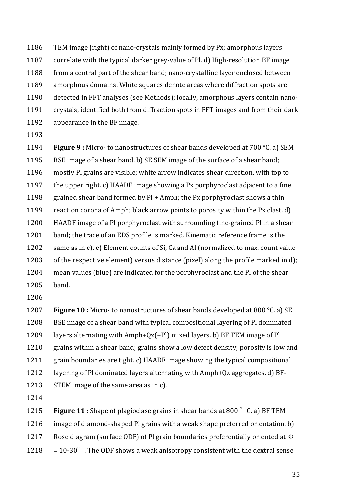1186 TEM image (right) of nano-crystals mainly formed by Px; amorphous layers 1187 correlate with the typical darker grey-value of Pl. d) High-resolution BF image 1188 from a central part of the shear band; nano-crystalline layer enclosed between 1189 amorphous domains. White squares denote areas where diffraction spots are 1190 detected in FFT analyses (see Methods); locally, amorphous layers contain nano-1191 crystals, identified both from diffraction spots in FFT images and from their dark 1192 appearance in the BF image.

1193

1194 **Figure 9**: Micro- to nanostructures of shear bands developed at 700 °C. a) SEM 1195 BSE image of a shear band, b) SE SEM image of the surface of a shear band: 1196 mostly Pl grains are visible; white arrow indicates shear direction, with top to 1197 the upper right, c) HAADF image showing a Px porphyroclast adjacent to a fine 1198 grained shear band formed by  $P1 +$  Amph; the Px porphyroclast shows a thin 1199 reaction corona of Amph; black arrow points to porosity within the Px clast. d) 1200 HAADF image of a Pl porphyroclast with surrounding fine-grained Pl in a shear 1201 band; the trace of an EDS profile is marked. Kinematic reference frame is the 1202 same as in c). e) Element counts of Si, Ca and Al (normalized to max. count value 1203 of the respective element) versus distance (pixel) along the profile marked in d); 1204 mean values (blue) are indicated for the porphyroclast and the Pl of the shear 1205 band.

1206

1207 **Figure 10** : Micro- to nanostructures of shear bands developed at 800 °C. a) SE 1208 BSE image of a shear band with typical compositional layering of Pl dominated 1209 layers alternating with  $Amph+Qz(+P1)$  mixed layers. b) BF TEM image of Pl 1210 grains within a shear band; grains show a low defect density; porosity is low and 1211 grain boundaries are tight. c) HAADF image showing the typical compositional 1212 layering of Pl dominated layers alternating with Amph+Qz aggregates. d) BF-1213 STEM image of the same area as in c).

1214

1215 **Figure 11**: Shape of plagioclase grains in shear bands at 800 ° C. a) BF TEM 1216 image of diamond-shaped Pl grains with a weak shape preferred orientation. b) 1217 Rose diagram (surface ODF) of Pl grain boundaries preferentially oriented at  $\Phi$  $1218 = 10-30^{\circ}$ . The ODF shows a weak anisotropy consistent with the dextral sense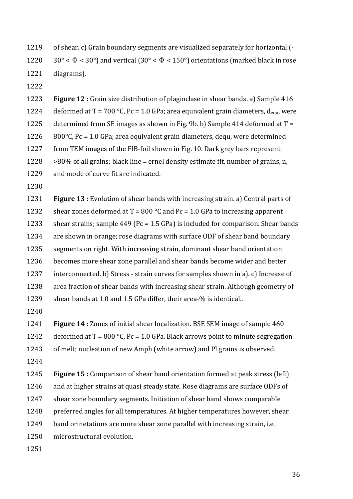1219 of shear. c) Grain boundary segments are visualized separately for horizontal (-1220 30° <  $\Phi$  < 30°) and vertical (30° <  $\Phi$  < 150°) orientations (marked black in rose 1221 diagrams).

1222

1223 **Figure 12**: Grain size distribution of plagioclase in shear bands. a) Sample 416 1224 deformed at  $T = 700 °C$ , Pc = 1.0 GPa; area equivalent grain diameters,  $d_{\text{equ}}$ , were 1225 determined from SE images as shown in Fig. 9b. b) Sample 414 deformed at  $T =$ 1226  $800^{\circ}$ C, Pc = 1.0 GPa; area equivalent grain diameters, dequ, were determined 1227 from TEM images of the FIB-foil shown in Fig. 10. Dark grey bars represent 1228  $>80\%$  of all grains; black line = ernel density estimate fit, number of grains, n, 1229 and mode of curve fit are indicated.

1230

1231 **Figure 13**: Evolution of shear bands with increasing strain. a) Central parts of 1232 shear zones deformed at  $T = 800$  °C and Pc = 1.0 GPa to increasing apparent 1233 shear strains; sample  $449$  (Pc = 1.5 GPa) is included for comparison. Shear bands 1234 are shown in orange; rose diagrams with surface ODF of shear band boundary 1235 segments on right. With increasing strain, dominant shear band orientation 1236 becomes more shear zone parallel and shear bands become wider and better 1237 interconnected. b) Stress - strain curves for samples shown in a). c) Increase of 1238 area fraction of shear bands with increasing shear strain. Although geometry of 1239 shear bands at 1.0 and 1.5 GPa differ, their area-% is identical..

1240

1241 **Figure 14**: Zones of initial shear localization. BSE SEM image of sample 460 1242 deformed at  $T = 800 °C$ , Pc = 1.0 GPa. Black arrows point to minute segregation 1243 of melt; nucleation of new Amph (white arrow) and Pl grains is observed.

1244

**1245 Figure 15 :** Comparison of shear band orientation formed at peak stress (left) 1246 and at higher strains at quasi steady state. Rose diagrams are surface ODFs of 1247 shear zone boundary segments. Initiation of shear band shows comparable 1248 preferred angles for all temperatures. At higher temperatures however, shear 1249 band orinetations are more shear zone parallel with increasing strain, i.e. 1250 microstructural evolution.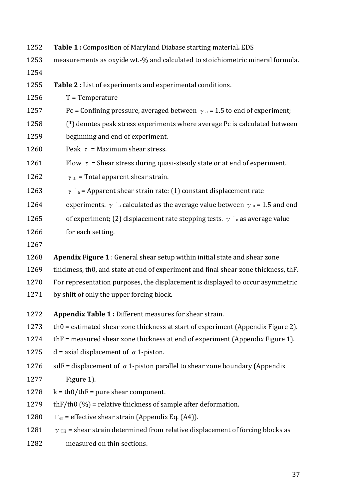| 1252 | Table 1 : Composition of Maryland Diabase starting material. EDS                                      |
|------|-------------------------------------------------------------------------------------------------------|
| 1253 | measurements as oxyide wt.-% and calculated to stoichiometric mineral formula.                        |
| 1254 |                                                                                                       |
| 1255 | Table 2 : List of experiments and experimental conditions.                                            |
| 1256 | $T = Temperature$                                                                                     |
| 1257 | Pc = Confining pressure, averaged between $\gamma$ a = 1.5 to end of experiment;                      |
| 1258 | (*) denotes peak stress experiments where average Pc is calculated between                            |
| 1259 | beginning and end of experiment.                                                                      |
| 1260 | Peak $\tau$ = Maximum shear stress.                                                                   |
| 1261 | Flow $\tau$ = Shear stress during quasi-steady state or at end of experiment.                         |
| 1262 | $\gamma$ a = Total apparent shear strain.                                                             |
| 1263 | $\gamma$ ' <sub>a</sub> = Apparent shear strain rate: (1) constant displacement rate                  |
| 1264 | experiments. $\gamma$ ' <sub>a</sub> calculated as the average value between $\gamma$ a = 1.5 and end |
| 1265 | of experiment; (2) displacement rate stepping tests. $\gamma$ $\alpha$ as average value               |
| 1266 | for each setting.                                                                                     |
|      |                                                                                                       |
| 1267 |                                                                                                       |
| 1268 | Apendix Figure 1 : General shear setup within initial state and shear zone                            |
| 1269 | thickness, th0, and state at end of experiment and final shear zone thickness, thF.                   |
| 1270 | For representation purposes, the displacement is displayed to occur asymmetric                        |
| 1271 | by shift of only the upper forcing block.                                                             |
| 1272 | Appendix Table 1 : Different measures for shear strain.                                               |
| 1273 | th0 = estimated shear zone thickness at start of experiment (Appendix Figure 2).                      |
| 1274 | thF = measured shear zone thickness at end of experiment (Appendix Figure 1).                         |
| 1275 | $d$ = axial displacement of $\sigma$ 1-piston.                                                        |
| 1276 | sdF = displacement of $\sigma$ 1-piston parallel to shear zone boundary (Appendix                     |
| 1277 | Figure 1).                                                                                            |
| 1278 | $k = th0/thF = pure shear component.$                                                                 |
| 1279 | thF/th0 $(\%)$ = relative thickness of sample after deformation.                                      |
| 1280 | $\Gamma$ <sub>eff</sub> = effective shear strain (Appendix Eq. (A4)).                                 |
| 1281 | $\gamma$ <sub>TH</sub> = shear strain determined from relative displacement of forcing blocks as      |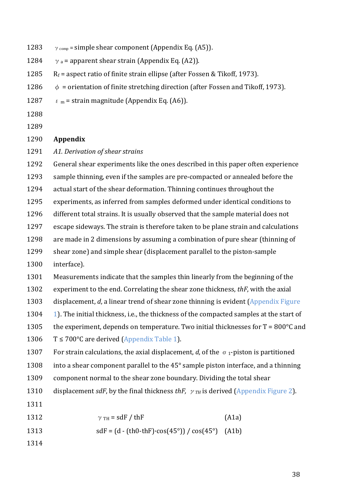- 1283  $\gamma$  <sub>comp</sub> = simple shear component (Appendix Eq. (A5)).
- 1284  $\gamma$  a = apparent shear strain (Appendix Eq. (A2)).
- 1285  $R_f$  = aspect ratio of finite strain ellipse (after Fossen & Tikoff, 1973).
- 1286  $\phi$  = orientation of finite stretching direction (after Fossen and Tikoff, 1973).
- 1287  $\varepsilon_m$  = strain magnitude (Appendix Eq. (A6)).
- 1288
- 1289

#### 1290 **Appendix**

1291 A1. Derivation of shear strains

1292 General shear experiments like the ones described in this paper often experience

- 1293 sample thinning, even if the samples are pre-compacted or annealed before the
- 1294 actual start of the shear deformation. Thinning continues throughout the
- 1295 experiments, as inferred from samples deformed under identical conditions to
- 1296 different total strains. It is usually observed that the sample material does not
- 1297 escape sideways. The strain is therefore taken to be plane strain and calculations
- 1298 are made in 2 dimensions by assuming a combination of pure shear (thinning of
- 1299 shear zone) and simple shear (displacement parallel to the piston-sample
- 1300 interface).

1301 Measurements indicate that the samples thin linearly from the beginning of the

- 1302 experiment to the end. Correlating the shear zone thickness, *thF*, with the axial
- 1303 displacement, *d*, a linear trend of shear zone thinning is evident (Appendix Figure
- 1304 1). The initial thickness, i.e., the thickness of the compacted samples at the start of
- 1305 the experiment, depends on temperature. Two initial thicknesses for  $T = 800^{\circ}C$  and
- 1306  $T \le 700^{\circ}$ C are derived (Appendix Table 1).

1307 For strain calculations, the axial displacement, *d*, of the  $\sigma_1$ -piston is partitioned

- 1308 into a shear component parallel to the  $45^\circ$  sample piston interface, and a thinning
- 1309 component normal to the shear zone boundary. Dividing the total shear
- 1310 displacement *sdF*, by the final thickness *thF*,  $\gamma_{TH}$  is derived (Appendix Figure 2).
- 1311
- 1312  $\gamma_{TH} = s dF / thF$  (A1a)
- 1313  $sdF = (d (th0-thF) \cdot cos(45^\circ)) / cos(45^\circ)$  (A1b)
- 1314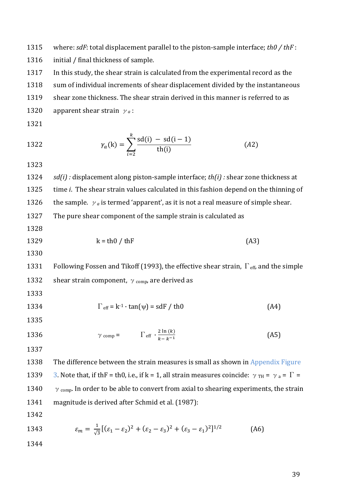1315 where:  $sdF$ : total displacement parallel to the piston-sample interface;  $thO$  /  $thF$  :

1316 initial / final thickness of sample.

1317 In this study, the shear strain is calculated from the experimental record as the

1318 sum of individual increments of shear displacement divided by the instantaneous

1319 shear zone thickness. The shear strain derived in this manner is referred to as

1320 apparent shear strain  $\gamma_a$ :

1321

1322 
$$
\gamma_a(k) = \sum_{i=2}^k \frac{sd(i) - sd(i-1)}{th(i)}
$$
(A2)

1323

1324 *sd(i)*: displacement along piston-sample interface; *th(i)*: shear zone thickness at 1325 time *i*. The shear strain values calculated in this fashion depend on the thinning of 1326 the sample.  $\gamma_a$  is termed 'apparent', as it is not a real measure of simple shear.

1327 The pure shear component of the sample strain is calculated as

- 1328
- 

1329  $k = th0 / thF$  (A3)

1330

1331 Following Fossen and Tikoff (1993), the effective shear strain,  $\Gamma_{\text{eff}}$ , and the simple 1332 shear strain component,  $\gamma$  <sub>comp</sub>, are derived as

1333

1334 
$$
\Gamma_{\text{eff}} = k^{-1} \cdot \tan(\psi) = \text{sdF} / \text{th0}
$$
 (A4)

- 1335
- 1336  $\gamma$  comp =  $\Gamma$  eff  $\cdot \frac{2 \ln(k)}{k k^{-1}}$  (A5)
- 1337

1338 The difference between the strain measures is small as shown in Appendix Figure 1339 3. Note that, if thF = th0, i.e., if k = 1, all strain measures coincide:  $\gamma_{TH} = \gamma_a = \Gamma =$ 1340  $\gamma$  comp. In order to be able to convert from axial to shearing experiments, the strain 1341 magnitude is derived after Schmid et al. (1987):

1342

1343 
$$
\varepsilon_m = \frac{1}{\sqrt{3}} [(\varepsilon_1 - \varepsilon_2)^2 + (\varepsilon_2 - \varepsilon_3)^2 + (\varepsilon_3 - \varepsilon_1)^2]^{1/2}
$$
 (A6)